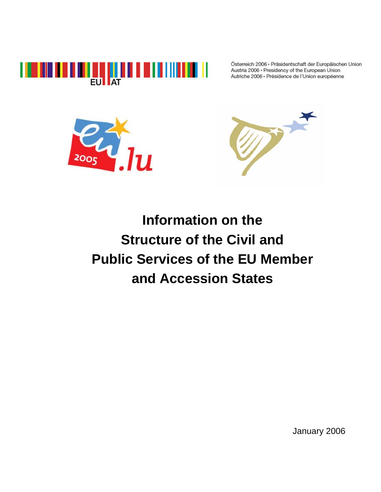

Österreich 2006 · Präsidentschaft der Europäischen Union Austria 2006 · Presidency of the European Union Autriche 2006 · Présidence de l'Union européenne





**Information on the Structure of the Civil and Public Services of the EU Member and Accession States** 

January 2006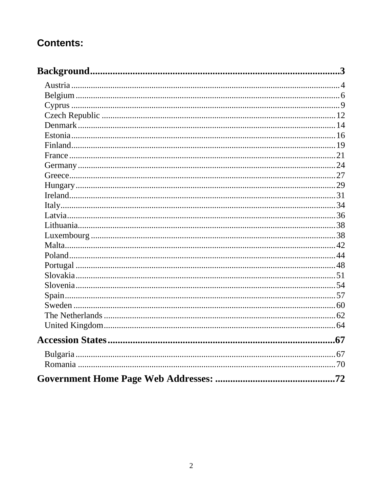# **Contents:**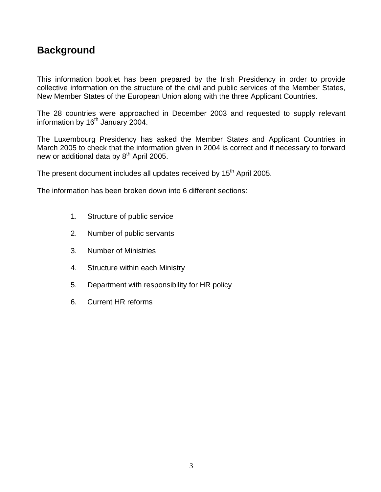# **Background**

This information booklet has been prepared by the Irish Presidency in order to provide collective information on the structure of the civil and public services of the Member States, New Member States of the European Union along with the three Applicant Countries.

The 28 countries were approached in December 2003 and requested to supply relevant information by  $16<sup>th</sup>$  January 2004.

The Luxembourg Presidency has asked the Member States and Applicant Countries in March 2005 to check that the information given in 2004 is correct and if necessary to forward new or additional data by  $8<sup>th</sup>$  April 2005.

The present document includes all updates received by 15<sup>th</sup> April 2005.

The information has been broken down into 6 different sections:

- 1. Structure of public service
- 2. Number of public servants
- 3. Number of Ministries
- 4. Structure within each Ministry
- 5. Department with responsibility for HR policy
- 6. Current HR reforms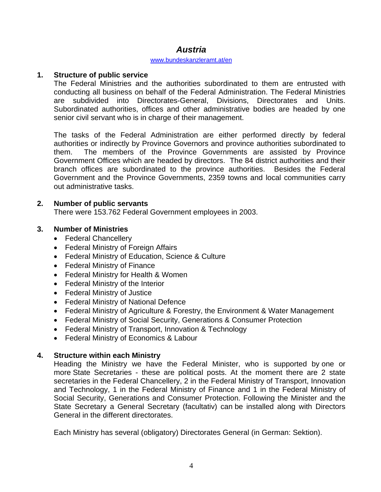## *Austria*

#### www.bundeskanzleramt.at/en

#### **1. Structure of public service**

The Federal Ministries and the authorities subordinated to them are entrusted with conducting all business on behalf of the Federal Administration. The Federal Ministries are subdivided into Directorates-General, Divisions, Directorates and Units. Subordinated authorities, offices and other administrative bodies are headed by one senior civil servant who is in charge of their management.

The tasks of the Federal Administration are either performed directly by federal authorities or indirectly by Province Governors and province authorities subordinated to them. The members of the Province Governments are assisted by Province Government Offices which are headed by directors. The 84 district authorities and their branch offices are subordinated to the province authorities. Besides the Federal Government and the Province Governments, 2359 towns and local communities carry out administrative tasks.

#### **2. Number of public servants**

There were 153.762 Federal Government employees in 2003.

### **3. Number of Ministries**

- Federal Chancellery
- Federal Ministry of Foreign Affairs
- Federal Ministry of Education, Science & Culture
- Federal Ministry of Finance
- Federal Ministry for Health & Women
- Federal Ministry of the Interior
- Federal Ministry of Justice
- Federal Ministry of National Defence
- Federal Ministry of Agriculture & Forestry, the Environment & Water Management
- Federal Ministry of Social Security, Generations & Consumer Protection
- Federal Ministry of Transport, Innovation & Technology
- Federal Ministry of Economics & Labour

### **4. Structure within each Ministry**

Heading the Ministry we have the Federal Minister, who is supported by one or more State Secretaries - these are political posts. At the moment there are 2 state secretaries in the Federal Chancellery, 2 in the Federal Ministry of Transport, Innovation and Technology, 1 in the Federal Ministry of Finance and 1 in the Federal Ministry of Social Security, Generations and Consumer Protection. Following the Minister and the State Secretary a General Secretary (facultativ) can be installed along with Directors General in the different directorates.

Each Ministry has several (obligatory) Directorates General (in German: Sektion).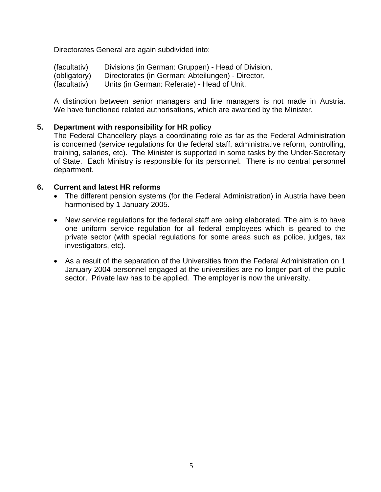Directorates General are again subdivided into:

(facultativ) Divisions (in German: Gruppen) - Head of Division, (obligatory) Directorates (in German: Abteilungen) - Director,

(facultativ) Units (in German: Referate) - Head of Unit.

A distinction between senior managers and line managers is not made in Austria. We have functioned related authorisations, which are awarded by the Minister.

### **5. Department with responsibility for HR policy**

The Federal Chancellery plays a coordinating role as far as the Federal Administration is concerned (service regulations for the federal staff, administrative reform, controlling, training, salaries, etc). The Minister is supported in some tasks by the Under-Secretary of State. Each Ministry is responsible for its personnel. There is no central personnel department.

#### **6. Current and latest HR reforms**

- The different pension systems (for the Federal Administration) in Austria have been harmonised by 1 January 2005.
- New service regulations for the federal staff are being elaborated. The aim is to have one uniform service regulation for all federal employees which is geared to the private sector (with special regulations for some areas such as police, judges, tax investigators, etc).
- As a result of the separation of the Universities from the Federal Administration on 1 January 2004 personnel engaged at the universities are no longer part of the public sector. Private law has to be applied. The employer is now the university.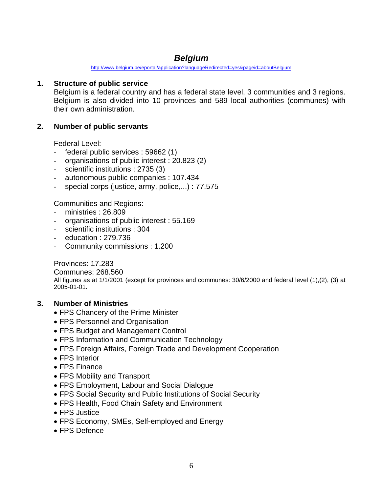## *Belgium*

http://www.belgium.be/eportal/application?languageRedirected=yes&pageid=aboutBelgium

## **1. Structure of public service**

Belgium is a federal country and has a federal state level, 3 communities and 3 regions. Belgium is also divided into 10 provinces and 589 local authorities (communes) with their own administration.

## **2. Number of public servants**

Federal Level:

- federal public services : 59662 (1)
- organisations of public interest : 20.823 (2)
- scientific institutions : 2735 (3)
- autonomous public companies : 107.434
- special corps (justice, army, police,...) : 77.575

Communities and Regions:

- ministries : 26.809
- organisations of public interest : 55.169
- scientific institutions : 304
- education : 279.736
- Community commissions : 1.200

Provinces: 17.283

Communes: 268.560 All figures as at 1/1/2001 (except for provinces and communes: 30/6/2000 and federal level (1),(2), (3) at 2005-01-01.

### **3. Number of Ministries**

- FPS Chancery of the Prime Minister
- FPS Personnel and Organisation
- FPS Budget and Management Control
- FPS Information and Communication Technology
- FPS Foreign Affairs, Foreign Trade and Development Cooperation
- FPS Interior
- FPS Finance
- FPS Mobility and Transport
- FPS Employment, Labour and Social Dialogue
- FPS Social Security and Public Institutions of Social Security
- FPS Health, Food Chain Safety and Environment
- FPS Justice
- FPS Economy, SMEs, Self-employed and Energy
- FPS Defence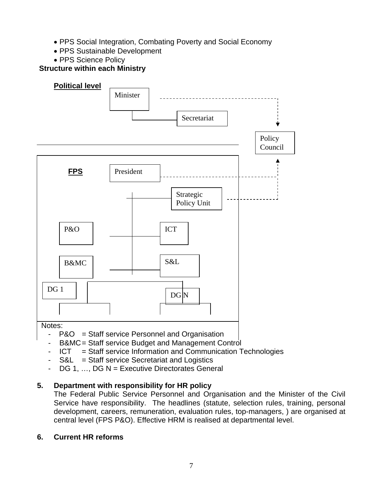- PPS Social Integration, Combating Poverty and Social Economy
- PPS Sustainable Development
- PPS Science Policy



- P&O = Staff service Personnel and Organisation
- B&MC = Staff service Budget and Management Control
- ICT = Staff service Information and Communication Technologies
- $S&L$  = Staff service Secretariat and Logistics
- $-$  DG 1, ..., DG N = Executive Directorates General

## **5. Department with responsibility for HR policy**

The Federal Public Service Personnel and Organisation and the Minister of the Civil Service have responsibility. The headlines (statute, selection rules, training, personal development, careers, remuneration, evaluation rules, top-managers, ) are organised at central level (FPS P&O). Effective HRM is realised at departmental level.

## **6. Current HR reforms**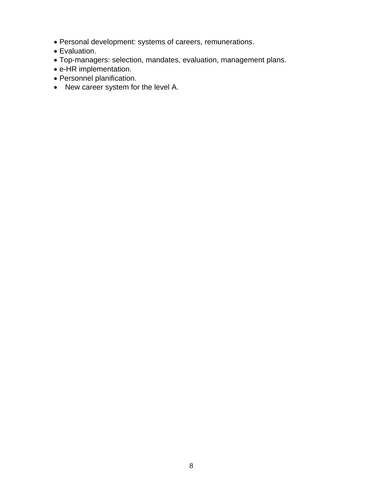- Personal development: systems of careers, remunerations.
- Evaluation.
- Top-managers: selection, mandates, evaluation, management plans.
- e-HR implementation.
- Personnel planification.
- New career system for the level A.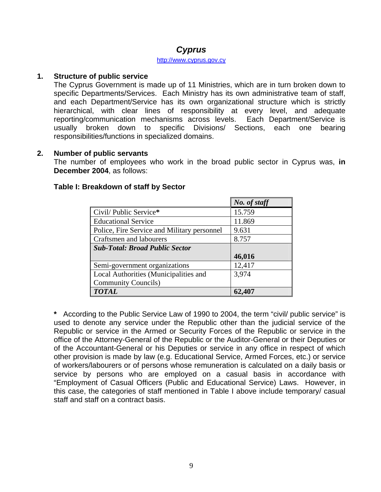## *Cyprus*

#### http://www.cyprus.gov.cy

#### **1. Structure of public service**

The Cyprus Government is made up of 11 Ministries, which are in turn broken down to specific Departments/Services. Each Ministry has its own administrative team of staff, and each Department/Service has its own organizational structure which is strictly hierarchical, with clear lines of responsibility at every level, and adequate reporting/communication mechanisms across levels. Each Department/Service is usually broken down to specific Divisions/ Sections, each one bearing responsibilities/functions in specialized domains.

#### **2. Number of public servants**

The number of employees who work in the broad public sector in Cyprus was, **in December 2004**, as follows:

|                                             | No. of staff |
|---------------------------------------------|--------------|
| Civil/Public Service*                       | 15.759       |
| <b>Educational Service</b>                  | 11.869       |
| Police, Fire Service and Military personnel | 9.631        |
| Craftsmen and labourers                     | 8.757        |
| <b>Sub-Total: Broad Public Sector</b>       |              |
|                                             | 46,016       |
| Semi-government organizations               | 12,417       |
| Local Authorities (Municipalities and       | 3,974        |
| <b>Community Councils</b> )                 |              |
| <b>TOTAL</b>                                | 62,407       |

#### **Table I: Breakdown of staff by Sector**

**\*** According to the Public Service Law of 1990 to 2004, the term "civil/ public service" is used to denote any service under the Republic other than the judicial service of the Republic or service in the Armed or Security Forces of the Republic or service in the office of the Attorney-General of the Republic or the Auditor-General or their Deputies or of the Accountant-General or his Deputies or service in any office in respect of which other provision is made by law (e.g. Educational Service, Armed Forces, etc.) or service of workers/labourers or of persons whose remuneration is calculated on a daily basis or service by persons who are employed on a casual basis in accordance with "Employment of Casual Officers (Public and Educational Service) Laws. However, in this case, the categories of staff mentioned in Table I above include temporary/ casual staff and staff on a contract basis.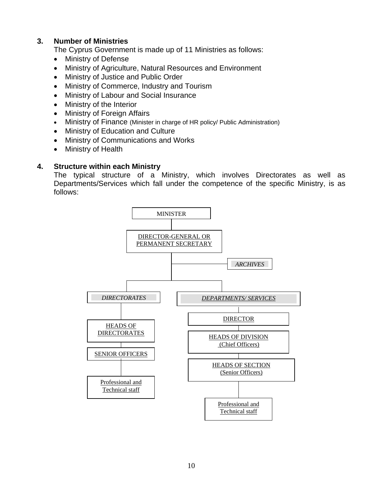## **3. Number of Ministries**

The Cyprus Government is made up of 11 Ministries as follows:

- Ministry of Defense
- Ministry of Agriculture, Natural Resources and Environment
- Ministry of Justice and Public Order
- Ministry of Commerce, Industry and Tourism
- Ministry of Labour and Social Insurance
- Ministry of the Interior
- Ministry of Foreign Affairs
- Ministry of Finance (Minister in charge of HR policy/ Public Administration)
- Ministry of Education and Culture
- Ministry of Communications and Works
- Ministry of Health

#### **4. Structure within each Ministry**

The typical structure of a Ministry, which involves Directorates as well as Departments/Services which fall under the competence of the specific Ministry, is as follows:

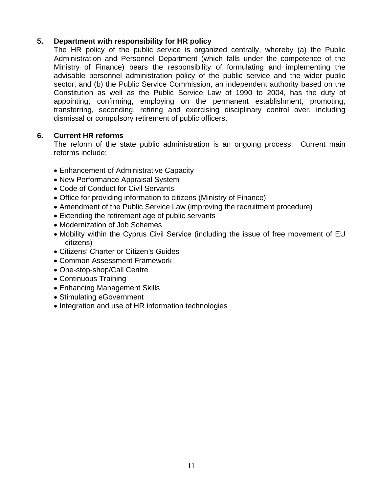## **5. Department with responsibility for HR policy**

The HR policy of the public service is organized centrally, whereby (a) the Public Administration and Personnel Department (which falls under the competence of the Ministry of Finance) bears the responsibility of formulating and implementing the advisable personnel administration policy of the public service and the wider public sector, and (b) the Public Service Commission, an independent authority based on the Constitution as well as the Public Service Law of 1990 to 2004, has the duty of appointing, confirming, employing on the permanent establishment, promoting, transferring, seconding, retiring and exercising disciplinary control over, including dismissal or compulsory retirement of public officers.

### **6. Current HR reforms**

The reform of the state public administration is an ongoing process. Current main reforms include:

- Enhancement of Administrative Capacity
- New Performance Appraisal System
- Code of Conduct for Civil Servants
- Office for providing information to citizens (Ministry of Finance)
- Amendment of the Public Service Law (improving the recruitment procedure)
- Extending the retirement age of public servants
- Modernization of Job Schemes
- Mobility within the Cyprus Civil Service (including the issue of free movement of EU citizens)
- Citizens' Charter or Citizen's Guides
- Common Assessment Framework
- One-stop-shop/Call Centre
- Continuous Training
- Enhancing Management Skills
- Stimulating eGovernment
- Integration and use of HR information technologies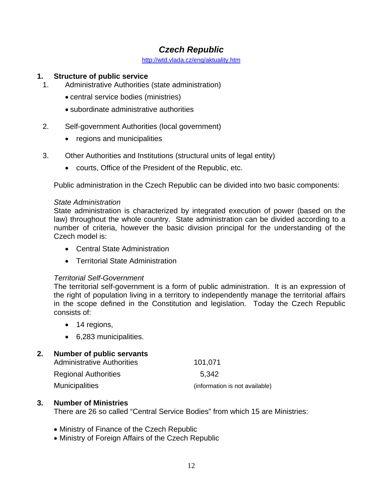## *Czech Republic*

http://wtd.vlada.cz/eng/aktuality.htm

### **1. Structure of public service**

- 1. Administrative Authorities (state administration)
	- central service bodies (ministries)
	- subordinate administrative authorities
- 2. Self-government Authorities (local government)
	- regions and municipalities
- 3. Other Authorities and Institutions (structural units of legal entity)
	- courts, Office of the President of the Republic, etc.

Public administration in the Czech Republic can be divided into two basic components:

#### *State Administration*

State administration is characterized by integrated execution of power (based on the law) throughout the whole country. State administration can be divided according to a number of criteria, however the basic division principal for the understanding of the Czech model is:

- Central State Administration
- Territorial State Administration

### *Territorial Self-Government*

The territorial self-government is a form of public administration. It is an expression of the right of population living in a territory to independently manage the territorial affairs in the scope defined in the Constitution and legislation. Today the Czech Republic consists of:

- 14 regions,
- 6,283 municipalities.

### **2. Number of public servants**

| <b>Administrative Authorities</b> | 101,071                        |
|-----------------------------------|--------------------------------|
| <b>Regional Authorities</b>       | 5.342                          |
| <b>Municipalities</b>             | (information is not available) |

### **3. Number of Ministries**

There are 26 so called "Central Service Bodies" from which 15 are Ministries:

- Ministry of Finance of the Czech Republic
- Ministry of Foreign Affairs of the Czech Republic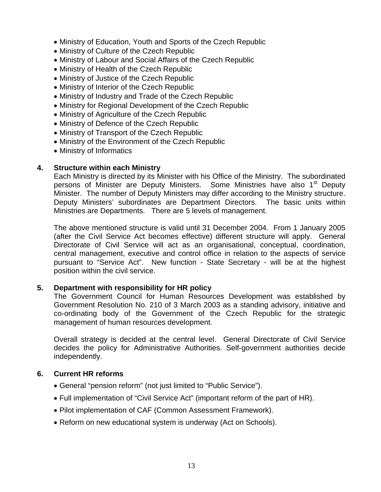- Ministry of Education, Youth and Sports of the Czech Republic
- Ministry of Culture of the Czech Republic
- Ministry of Labour and Social Affairs of the Czech Republic
- Ministry of Health of the Czech Republic
- Ministry of Justice of the Czech Republic
- Ministry of Interior of the Czech Republic
- Ministry of Industry and Trade of the Czech Republic
- Ministry for Regional Development of the Czech Republic
- Ministry of Agriculture of the Czech Republic
- Ministry of Defence of the Czech Republic
- Ministry of Transport of the Czech Republic
- Ministry of the Environment of the Czech Republic
- Ministry of Informatics

Each Ministry is directed by its Minister with his Office of the Ministry. The subordinated persons of Minister are Deputy Ministers. Some Ministries have also 1<sup>st</sup> Deputy Minister. The number of Deputy Ministers may differ according to the Ministry structure. Deputy Ministers' subordinates are Department Directors. The basic units within Ministries are Departments. There are 5 levels of management.

The above mentioned structure is valid until 31 December 2004. From 1 January 2005 (after the Civil Service Act becomes effective) different structure will apply. General Directorate of Civil Service will act as an organisational, conceptual, coordination, central management, executive and control office in relation to the aspects of service pursuant to "Service Act". New function - State Secretary - will be at the highest position within the civil service.

### **5. Department with responsibility for HR policy**

The Government Council for Human Resources Development was established by Government Resolution No. 210 of 3 March 2003 as a standing advisory, initiative and co-ordinating body of the Government of the Czech Republic for the strategic management of human resources development.

Overall strategy is decided at the central level. General Directorate of Civil Service decides the policy for Administrative Authorities. Self-government authorities decide independently.

## **6. Current HR reforms**

- General "pension reform" (not just limited to "Public Service").
- Full implementation of "Civil Service Act" (important reform of the part of HR).
- Pilot implementation of CAF (Common Assessment Framework).
- Reform on new educational system is underway (Act on Schools).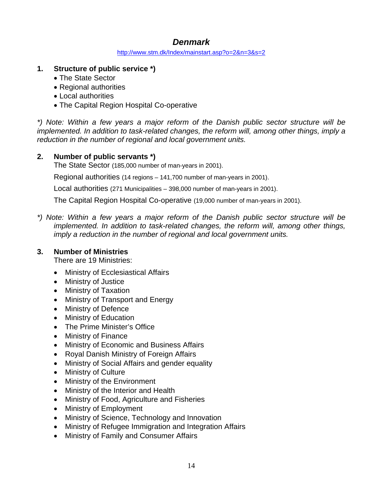## *Denmark*

http://www.stm.dk/Index/mainstart.asp?o=2&n=3&s=2

- **1. Structure of public service \*)** 
	- The State Sector
	- Regional authorities
	- Local authorities
	- The Capital Region Hospital Co-operative

*\*) Note: Within a few years a major reform of the Danish public sector structure will be implemented. In addition to task-related changes, the reform will, among other things, imply a reduction in the number of regional and local government units.* 

## **2. Number of public servants \*)**

The State Sector (185,000 number of man-years in 2001).

Regional authorities (14 regions – 141,700 number of man-years in 2001).

Local authorities (271 Municipalities – 398,000 number of man-years in 2001).

The Capital Region Hospital Co-operative (19,000 number of man-years in 2001).

*\*) Note: Within a few years a major reform of the Danish public sector structure will be implemented. In addition to task-related changes, the reform will, among other things, imply a reduction in the number of regional and local government units.*

## **3. Number of Ministries**

There are 19 Ministries:

- Ministry of Ecclesiastical Affairs
- Ministry of Justice
- Ministry of Taxation
- Ministry of Transport and Energy
- Ministry of Defence
- Ministry of Education
- The Prime Minister's Office
- Ministry of Finance
- Ministry of Economic and Business Affairs
- Royal Danish Ministry of Foreign Affairs
- Ministry of Social Affairs and gender equality
- Ministry of Culture
- Ministry of the Environment
- Ministry of the Interior and Health
- Ministry of Food, Agriculture and Fisheries
- Ministry of Employment
- Ministry of Science, Technology and Innovation
- Ministry of Refugee Immigration and Integration Affairs
- Ministry of Family and Consumer Affairs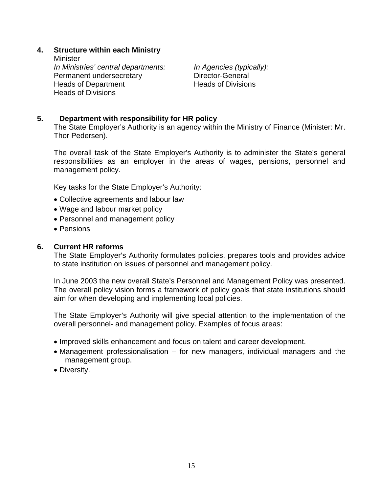**Minister** *In Ministries' central departments: In Agencies (typically):*  Permanent undersecretary **Director-General** Heads of Department Heads of Divisions Heads of Divisions

### **5. Department with responsibility for HR policy**

The State Employer's Authority is an agency within the Ministry of Finance (Minister: Mr. Thor Pedersen).

The overall task of the State Employer's Authority is to administer the State's general responsibilities as an employer in the areas of wages, pensions, personnel and management policy.

Key tasks for the State Employer's Authority:

- Collective agreements and labour law
- Wage and labour market policy
- Personnel and management policy
- Pensions

#### **6. Current HR reforms**

The State Employer's Authority formulates policies, prepares tools and provides advice to state institution on issues of personnel and management policy.

In June 2003 the new overall State's Personnel and Management Policy was presented. The overall policy vision forms a framework of policy goals that state institutions should aim for when developing and implementing local policies.

The State Employer's Authority will give special attention to the implementation of the overall personnel- and management policy. Examples of focus areas:

- Improved skills enhancement and focus on talent and career development.
- Management professionalisation for new managers, individual managers and the management group.
- Diversity.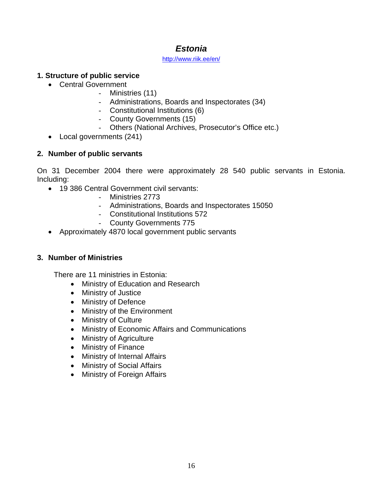## *Estonia*

http://www.riik.ee/en/

## **1. Structure of public service**

- Central Government
	- Ministries (11)
	- Administrations, Boards and Inspectorates (34)
	- Constitutional Institutions (6)
	- County Governments (15)
	- Others (National Archives, Prosecutor's Office etc.)
- Local governments (241)

## **2. Number of public servants**

On 31 December 2004 there were approximately 28 540 public servants in Estonia. Including:

- 19 386 Central Government civil servants:
	- Ministries 2773
	- Administrations, Boards and Inspectorates 15050
	- Constitutional Institutions 572
	- County Governments 775
- Approximately 4870 local government public servants

## **3. Number of Ministries**

There are 11 ministries in Estonia:

- Ministry of Education and Research
- Ministry of Justice
- Ministry of Defence
- Ministry of the Environment
- Ministry of Culture
- Ministry of Economic Affairs and Communications
- Ministry of Agriculture
- Ministry of Finance
- Ministry of Internal Affairs
- Ministry of Social Affairs
- Ministry of Foreign Affairs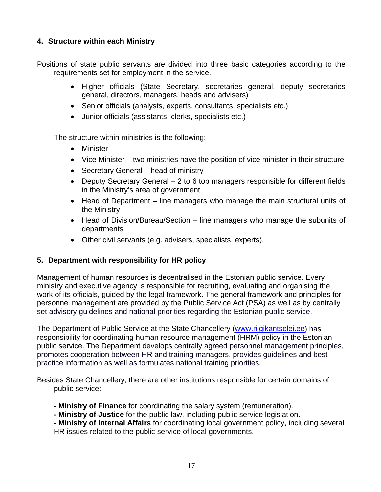Positions of state public servants are divided into three basic categories according to the requirements set for employment in the service.

- Higher officials (State Secretary, secretaries general, deputy secretaries general, directors, managers, heads and advisers)
- Senior officials (analysts, experts, consultants, specialists etc.)
- Junior officials (assistants, clerks, specialists etc.)

The structure within ministries is the following:

- Minister
- Vice Minister two ministries have the position of vice minister in their structure
- Secretary General head of ministry
- Deputy Secretary General 2 to 6 top managers responsible for different fields in the Ministry's area of government
- Head of Department line managers who manage the main structural units of the Ministry
- Head of Division/Bureau/Section line managers who manage the subunits of departments
- Other civil servants (e.g. advisers, specialists, experts).

## **5. Department with responsibility for HR policy**

Management of human resources is decentralised in the Estonian public service. Every ministry and executive agency is responsible for recruiting, evaluating and organising the work of its officials, guided by the legal framework. The general framework and principles for personnel management are provided by the Public Service Act (PSA) as well as by centrally set advisory guidelines and national priorities regarding the Estonian public service.

The Department of Public Service at the State Chancellery (www.riigikantselei.ee) has responsibility for coordinating human resource management (HRM) policy in the Estonian public service. The Department develops centrally agreed personnel management principles, promotes cooperation between HR and training managers, provides guidelines and best practice information as well as formulates national training priorities.

Besides State Chancellery, there are other institutions responsible for certain domains of public service:

- **Ministry of Finance** for coordinating the salary system (remuneration).
- **Ministry of Justice** for the public law, including public service legislation.

**- Ministry of Internal Affairs** for coordinating local government policy, including several HR issues related to the public service of local governments.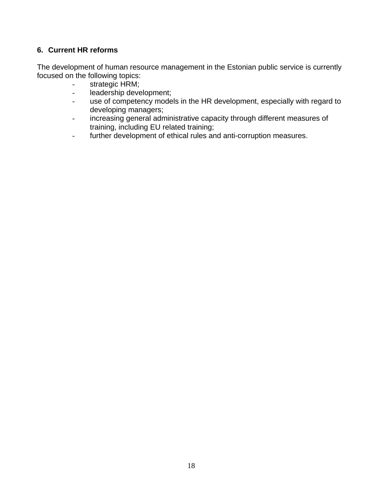## **6. Current HR reforms**

The development of human resource management in the Estonian public service is currently focused on the following topics:

- strategic HRM;
- leadership development;
- use of competency models in the HR development, especially with regard to developing managers;
- increasing general administrative capacity through different measures of training, including EU related training;
- further development of ethical rules and anti-corruption measures.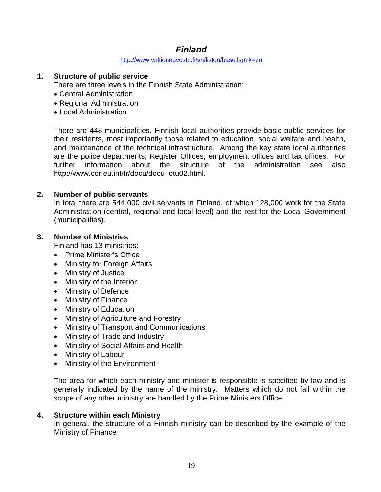## *Finland*

http://www.valtioneuvosto.fi/vn/liston/base.lsp?k=en

## **1. Structure of public service**

There are three levels in the Finnish State Administration:

- Central Administration
- Regional Administration
- Local Administration

There are 448 municipalities. Finnish local authorities provide basic public services for their residents, most importantly those related to education, social welfare and health, and maintenance of the technical infrastructure. Among the key state local authorities are the police departments, Register Offices, employment offices and tax offices. For further information about the structure of the administration see also http://www.cor.eu.int/fr/docu/docu\_etu02.html.

## **2. Number of public servants**

In total there are 544 000 civil servants in Finland, of which 128,000 work for the State Administration (central, regional and local level) and the rest for the Local Government (municipalities).

## **3. Number of Ministries**

Finland has 13 ministries:

- Prime Minister's Office
- Ministry for Foreign Affairs
- Ministry of Justice
- Ministry of the Interior
- Ministry of Defence
- Ministry of Finance
- Ministry of Education
- Ministry of Agriculture and Forestry
- Ministry of Transport and Communications
- Ministry of Trade and Industry
- Ministry of Social Affairs and Health
- Ministry of Labour
- Ministry of the Environment

The area for which each ministry and minister is responsible is specified by law and is generally indicated by the name of the ministry. Matters which do not fall within the scope of any other ministry are handled by the Prime Ministers Office.

### **4. Structure within each Ministry**

In general, the structure of a Finnish ministry can be described by the example of the Ministry of Finance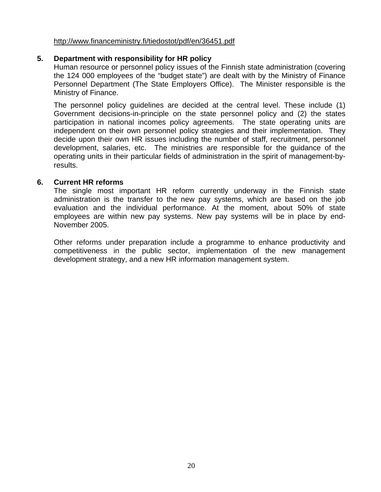#### http://www.financeministry.fi/tiedostot/pdf/en/36451.pdf

### **5. Department with responsibility for HR policy**

Human resource or personnel policy issues of the Finnish state administration (covering the 124 000 employees of the "budget state") are dealt with by the Ministry of Finance Personnel Department (The State Employers Office). The Minister responsible is the Ministry of Finance.

The personnel policy guidelines are decided at the central level. These include (1) Government decisions-in-principle on the state personnel policy and (2) the states participation in national incomes policy agreements. The state operating units are independent on their own personnel policy strategies and their implementation. They decide upon their own HR issues including the number of staff, recruitment, personnel development, salaries, etc. The ministries are responsible for the guidance of the operating units in their particular fields of administration in the spirit of management-byresults.

#### **6. Current HR reforms**

The single most important HR reform currently underway in the Finnish state administration is the transfer to the new pay systems, which are based on the job evaluation and the individual performance. At the moment, about 50% of state employees are within new pay systems. New pay systems will be in place by end-November 2005.

Other reforms under preparation include a programme to enhance productivity and competitiveness in the public sector, implementation of the new management development strategy, and a new HR information management system.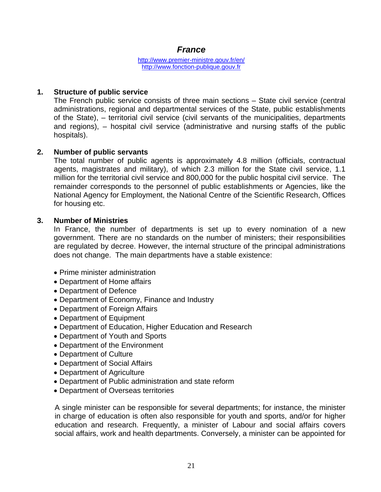## *France*

http://www.premier-ministre.gouv.fr/en/ http://www.fonction-publique.gouv.fr

### **1. Structure of public service**

The French public service consists of three main sections – State civil service (central administrations, regional and departmental services of the State, public establishments of the State), – territorial civil service (civil servants of the municipalities, departments and regions), – hospital civil service (administrative and nursing staffs of the public hospitals).

## **2. Number of public servants**

The total number of public agents is approximately 4.8 million (officials, contractual agents, magistrates and military), of which 2.3 million for the State civil service, 1.1 million for the territorial civil service and 800,000 for the public hospital civil service. The remainder corresponds to the personnel of public establishments or Agencies, like the National Agency for Employment, the National Centre of the Scientific Research, Offices for housing etc.

### **3. Number of Ministries**

In France, the number of departments is set up to every nomination of a new government. There are no standards on the number of ministers; their responsibilities are regulated by decree. However, the internal structure of the principal administrations does not change. The main departments have a stable existence:

- Prime minister administration
- Department of Home affairs
- Department of Defence
- Department of Economy, Finance and Industry
- Department of Foreign Affairs
- Department of Equipment
- Department of Education, Higher Education and Research
- Department of Youth and Sports
- Department of the Environment
- Department of Culture
- Department of Social Affairs
- Department of Agriculture
- Department of Public administration and state reform
- Department of Overseas territories

A single minister can be responsible for several departments; for instance, the minister in charge of education is often also responsible for youth and sports, and/or for higher education and research. Frequently, a minister of Labour and social affairs covers social affairs, work and health departments. Conversely, a minister can be appointed for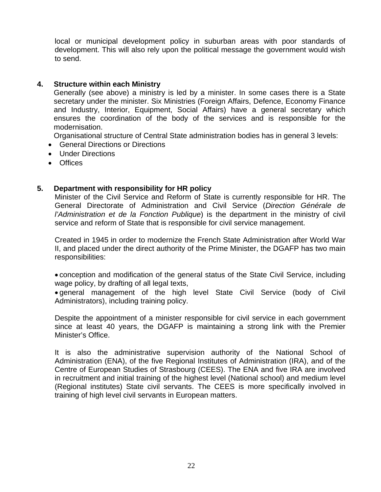local or municipal development policy in suburban areas with poor standards of development. This will also rely upon the political message the government would wish to send.

## **4. Structure within each Ministry**

Generally (see above) a ministry is led by a minister. In some cases there is a State secretary under the minister. Six Ministries (Foreign Affairs, Defence, Economy Finance and Industry, Interior, Equipment, Social Affairs) have a general secretary which ensures the coordination of the body of the services and is responsible for the modernisation.

Organisational structure of Central State administration bodies has in general 3 levels:

- General Directions or Directions
- Under Directions
- Offices

## **5. Department with responsibility for HR policy**

Minister of the Civil Service and Reform of State is currently responsible for HR. The General Directorate of Administration and Civil Service (*Direction Générale de l'Administration et de la Fonction Publique*) is the department in the ministry of civil service and reform of State that is responsible for civil service management.

Created in 1945 in order to modernize the French State Administration after World War II, and placed under the direct authority of the Prime Minister, the DGAFP has two main responsibilities:

 conception and modification of the general status of the State Civil Service, including wage policy, by drafting of all legal texts,

 general management of the high level State Civil Service (body of Civil Administrators), including training policy.

Despite the appointment of a minister responsible for civil service in each government since at least 40 years, the DGAFP is maintaining a strong link with the Premier Minister's Office.

It is also the administrative supervision authority of the National School of Administration (ENA), of the five Regional Institutes of Administration (IRA), and of the Centre of European Studies of Strasbourg (CEES). The ENA and five IRA are involved in recruitment and initial training of the highest level (National school) and medium level (Regional institutes) State civil servants. The CEES is more specifically involved in training of high level civil servants in European matters.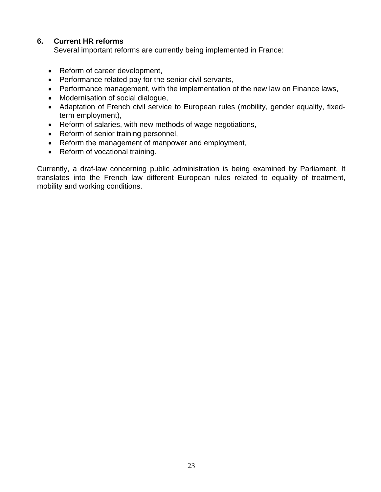## **6. Current HR reforms**

Several important reforms are currently being implemented in France:

- Reform of career development,
- Performance related pay for the senior civil servants,
- Performance management, with the implementation of the new law on Finance laws,
- Modernisation of social dialogue,
- Adaptation of French civil service to European rules (mobility, gender equality, fixedterm employment),
- Reform of salaries, with new methods of wage negotiations,
- Reform of senior training personnel,
- Reform the management of manpower and employment,
- Reform of vocational training.

Currently, a draf-law concerning public administration is being examined by Parliament. It translates into the French law different European rules related to equality of treatment, mobility and working conditions.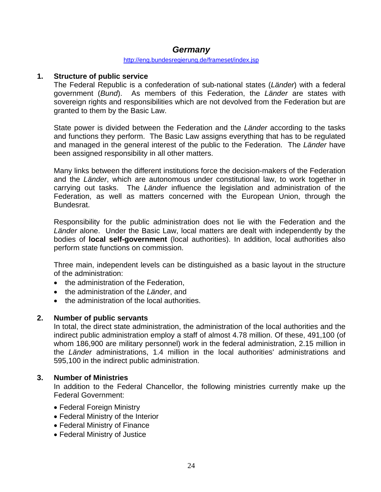## *Germany*

#### http://eng.bundesregierung.de/frameset/index.jsp

#### **1. Structure of public service**

The Federal Republic is a confederation of sub-national states (*Länder*) with a federal government (*Bund*). As members of this Federation, the *Länder* are states with sovereign rights and responsibilities which are not devolved from the Federation but are granted to them by the Basic Law.

State power is divided between the Federation and the *Länder* according to the tasks and functions they perform. The Basic Law assigns everything that has to be regulated and managed in the general interest of the public to the Federation. The *Länder* have been assigned responsibility in all other matters.

Many links between the different institutions force the decision-makers of the Federation and the *Länder*, which are autonomous under constitutional law, to work together in carrying out tasks. The *Länder* influence the legislation and administration of the Federation, as well as matters concerned with the European Union, through the Bundesrat.

Responsibility for the public administration does not lie with the Federation and the *Länder* alone. Under the Basic Law, local matters are dealt with independently by the bodies of **local self-government** (local authorities). In addition, local authorities also perform state functions on commission.

Three main, independent levels can be distinguished as a basic layout in the structure of the administration:

- the administration of the Federation,
- the administration of the *Länder*, and
- the administration of the local authorities.

#### **2. Number of public servants**

In total, the direct state administration, the administration of the local authorities and the indirect public administration employ a staff of almost 4.78 million. Of these, 491,100 (of whom 186,900 are military personnel) work in the federal administration, 2.15 million in the *Länder* administrations, 1.4 million in the local authorities' administrations and 595,100 in the indirect public administration.

#### **3. Number of Ministries**

In addition to the Federal Chancellor, the following ministries currently make up the Federal Government:

- Federal Foreign Ministry
- Federal Ministry of the Interior
- Federal Ministry of Finance
- Federal Ministry of Justice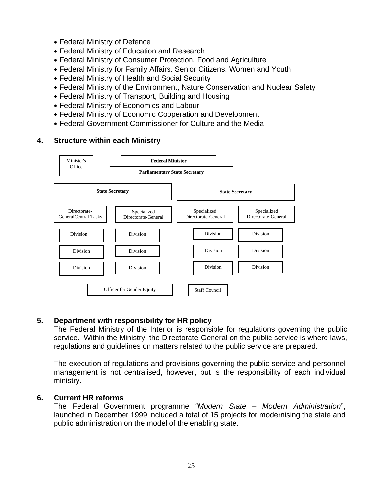- Federal Ministry of Defence
- Federal Ministry of Education and Research
- Federal Ministry of Consumer Protection, Food and Agriculture
- Federal Ministry for Family Affairs, Senior Citizens, Women and Youth
- Federal Ministry of Health and Social Security
- Federal Ministry of the Environment, Nature Conservation and Nuclear Safety
- Federal Ministry of Transport, Building and Housing
- Federal Ministry of Economics and Labour
- Federal Ministry of Economic Cooperation and Development
- Federal Government Commissioner for Culture and the Media



## **5. Department with responsibility for HR policy**

 The Federal Ministry of the Interior is responsible for regulations governing the public service. Within the Ministry, the Directorate-General on the public service is where laws, regulations and guidelines on matters related to the public service are prepared.

 The execution of regulations and provisions governing the public service and personnel management is not centralised, however, but is the responsibility of each individual ministry.

### **6. Current HR reforms**

The Federal Government programme *"Modern State – Modern Administration*", launched in December 1999 included a total of 15 projects for modernising the state and public administration on the model of the enabling state.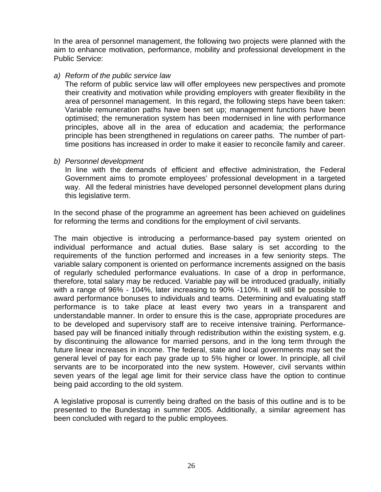In the area of personnel management, the following two projects were planned with the aim to enhance motivation, performance, mobility and professional development in the Public Service:

#### *a) Reform of the public service law*

The reform of public service law will offer employees new perspectives and promote their creativity and motivation while providing employers with greater flexibility in the area of personnel management. In this regard, the following steps have been taken: Variable remuneration paths have been set up; management functions have been optimised; the remuneration system has been modernised in line with performance principles, above all in the area of education and academia; the performance principle has been strengthened in regulations on career paths. The number of parttime positions has increased in order to make it easier to reconcile family and career.

#### *b) Personnel development*

In line with the demands of efficient and effective administration, the Federal Government aims to promote employees' professional development in a targeted way. All the federal ministries have developed personnel development plans during this legislative term.

In the second phase of the programme an agreement has been achieved on guidelines for reforming the terms and conditions for the employment of civil servants.

The main objective is introducing a performance-based pay system oriented on individual performance and actual duties. Base salary is set according to the requirements of the function performed and increases in a few seniority steps. The variable salary component is oriented on performance increments assigned on the basis of regularly scheduled performance evaluations. In case of a drop in performance, therefore, total salary may be reduced. Variable pay will be introduced gradually, initially with a range of 96% - 104%, later increasing to 90% -110%. It will still be possible to award performance bonuses to individuals and teams. Determining and evaluating staff performance is to take place at least every two years in a transparent and understandable manner. In order to ensure this is the case, appropriate procedures are to be developed and supervisory staff are to receive intensive training. Performancebased pay will be financed initially through redistribution within the existing system, e.g. by discontinuing the allowance for married persons, and in the long term through the future linear increases in income. The federal, state and local governments may set the general level of pay for each pay grade up to 5% higher or lower. In principle, all civil servants are to be incorporated into the new system. However, civil servants within seven years of the legal age limit for their service class have the option to continue being paid according to the old system.

A legislative proposal is currently being drafted on the basis of this outline and is to be presented to the Bundestag in summer 2005. Additionally, a similar agreement has been concluded with regard to the public employees.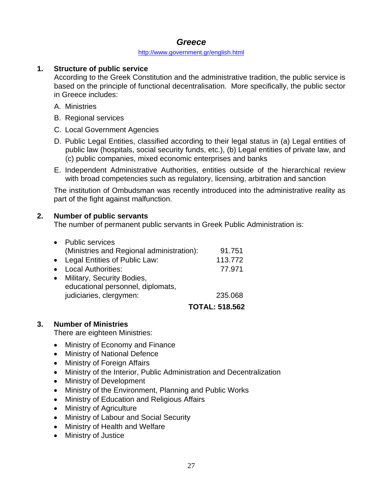## *Greece*

#### http://www.government.gr/english.html

## **1. Structure of public service**

According to the Greek Constitution and the administrative tradition, the public service is based on the principle of functional decentralisation. More specifically, the public sector in Greece includes:

- A. Ministries
- B. Regional services
- C. Local Government Agencies
- D. Public Legal Entities, classified according to their legal status in (a) Legal entities of public law (hospitals, social security funds, etc.), (b) Legal entities of private law, and (c) public companies, mixed economic enterprises and banks
- E. Independent Administrative Authorities, entities outside of the hierarchical review with broad competencies such as regulatory, licensing, arbitration and sanction

The institution of Ombudsman was recently introduced into the administrative reality as part of the fight against malfunction.

## **2. Number of public servants**

The number of permanent public servants in Greek Public Administration is:

| $\bullet$ | <b>Public services</b>                    |                       |
|-----------|-------------------------------------------|-----------------------|
|           | (Ministries and Regional administration): | 91.751                |
|           | • Legal Entities of Public Law:           | 113.772               |
| $\bullet$ | <b>Local Authorities:</b>                 | 77.971                |
| $\bullet$ | Military, Security Bodies,                |                       |
|           | educational personnel, diplomats,         |                       |
|           | judiciaries, clergymen:                   | 235,068               |
|           |                                           | <b>TOTAL: 518.562</b> |

## **3. Number of Ministries**

There are eighteen Ministries:

- Ministry of Economy and Finance
- Ministry of National Defence
- Ministry of Foreign Affairs
- Ministry of the Interior, Public Administration and Decentralization
- Ministry of Development
- Ministry of the Environment, Planning and Public Works
- Ministry of Education and Religious Affairs
- Ministry of Agriculture
- Ministry of Labour and Social Security
- Ministry of Health and Welfare
- Ministry of Justice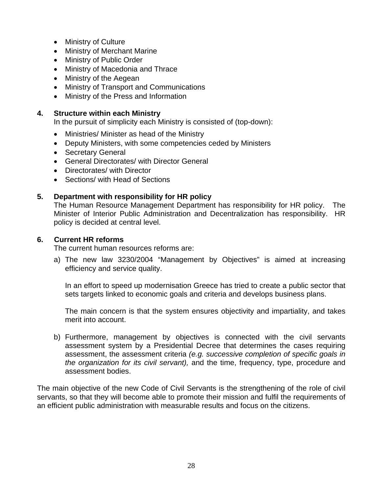- Ministry of Culture
- Ministry of Merchant Marine
- Ministry of Public Order
- Ministry of Macedonia and Thrace
- Ministry of the Aegean
- Ministry of Transport and Communications
- Ministry of the Press and Information

In the pursuit of simplicity each Ministry is consisted of (top-down):

- Ministries/ Minister as head of the Ministry
- Deputy Ministers, with some competencies ceded by Ministers
- Secretary General
- General Directorates/ with Director General
- Directorates/ with Director
- Sections/ with Head of Sections

## **5. Department with responsibility for HR policy**

The Human Resource Management Department has responsibility for HR policy. The Minister of Interior Public Administration and Decentralization has responsibility. HR policy is decided at central level.

### **6. Current HR reforms**

The current human resources reforms are:

a) The new law 3230/2004 "Management by Objectives" is aimed at increasing efficiency and service quality.

 In an effort to speed up modernisation Greece has tried to create a public sector that sets targets linked to economic goals and criteria and develops business plans.

 The main concern is that the system ensures objectivity and impartiality, and takes merit into account.

b) Furthermore, management by objectives is connected with the civil servants assessment system by a Presidential Decree that determines the cases requiring assessment, the assessment criteria *(e.g. successive completion of specific goals in the organization for its civil servant),* and the time, frequency, type, procedure and assessment bodies.

The main objective of the new Code of Civil Servants is the strengthening of the role of civil servants, so that they will become able to promote their mission and fulfil the requirements of an efficient public administration with measurable results and focus on the citizens.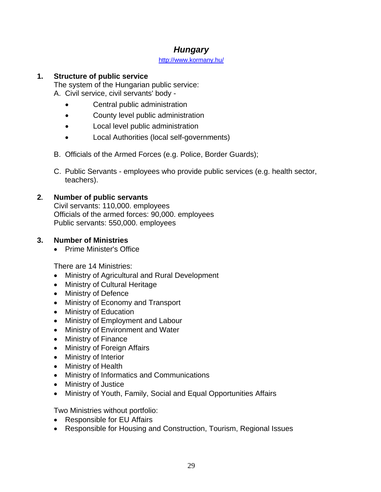## *Hungary*

#### http://www.kormany.hu/

## **1. Structure of public service**

The system of the Hungarian public service:

A. Civil service, civil servants' body -

- Central public administration
- County level public administration
- Local level public administration
- Local Authorities (local self-governments)
- B. Officials of the Armed Forces (e.g. Police, Border Guards);
- C. Public Servants employees who provide public services (e.g. health sector, teachers).

## **2. Number of public servants**

Civil servants: 110,000. employees Officials of the armed forces: 90,000. employees Public servants: 550,000. employees

## **3. Number of Ministries**

• Prime Minister's Office

There are 14 Ministries:

- Ministry of Agricultural and Rural Development
- Ministry of Cultural Heritage
- Ministry of Defence
- Ministry of Economy and Transport
- Ministry of Education
- Ministry of Employment and Labour
- Ministry of Environment and Water
- Ministry of Finance
- Ministry of Foreign Affairs
- Ministry of Interior
- Ministry of Health
- Ministry of Informatics and Communications
- Ministry of Justice
- Ministry of Youth, Family, Social and Equal Opportunities Affairs

Two Ministries without portfolio:

- Responsible for EU Affairs
- Responsible for Housing and Construction, Tourism, Regional Issues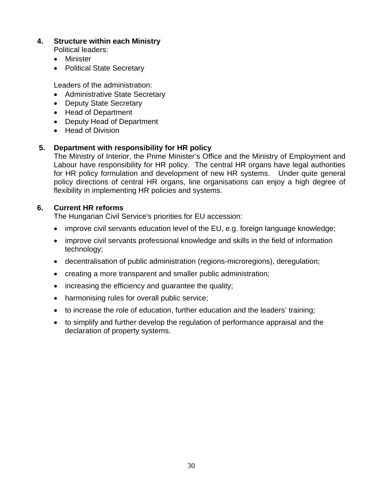- Political leaders:
- Minister
- Political State Secretary

Leaders of the administration:

- Administrative State Secretary
- Deputy State Secretary
- Head of Department
- Deputy Head of Department
- Head of Division

## **5. Department with responsibility for HR policy**

The Ministry of Interior, the Prime Minister's Office and the Ministry of Employment and Labour have responsibility for HR policy. The central HR organs have legal authorities for HR policy formulation and development of new HR systems. Under quite general policy directions of central HR organs, line organisations can enjoy a high degree of flexibility in implementing HR policies and systems.

## **6. Current HR reforms**

The Hungarian Civil Service's priorities for EU accession:

- improve civil servants education level of the EU, e.g. foreign language knowledge;
- improve civil servants professional knowledge and skills in the field of information technology;
- decentralisation of public administration (regions-microregions), deregulation;
- creating a more transparent and smaller public administration;
- increasing the efficiency and guarantee the quality;
- harmonising rules for overall public service;
- to increase the role of education, further education and the leaders' training;
- to simplify and further develop the regulation of performance appraisal and the declaration of property systems.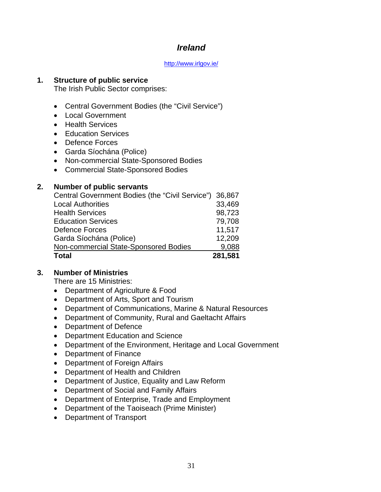## *Ireland*

#### http://www.irlgov.ie/

### **1. Structure of public service**

The Irish Public Sector comprises:

- Central Government Bodies (the "Civil Service")
- Local Government
- Health Services
- Education Services
- Defence Forces
- Garda Síochána (Police)
- Non-commercial State-Sponsored Bodies
- Commercial State-Sponsored Bodies

### **2. Number of public servants**

| Central Government Bodies (the "Civil Service") | 36,867  |
|-------------------------------------------------|---------|
| <b>Local Authorities</b>                        | 33,469  |
| <b>Health Services</b>                          | 98,723  |
| <b>Education Services</b>                       | 79,708  |
| Defence Forces                                  | 11,517  |
| Garda Síochána (Police)                         | 12,209  |
| Non-commercial State-Sponsored Bodies           | 9,088   |
| <b>Total</b>                                    | 281,581 |

### **3. Number of Ministries**

There are 15 Ministries:

- Department of Agriculture & Food
- Department of Arts, Sport and Tourism
- Department of Communications, Marine & Natural Resources
- Department of Community, Rural and Gaeltacht Affairs
- Department of Defence
- Department Education and Science
- Department of the Environment, Heritage and Local Government
- Department of Finance
- Department of Foreign Affairs
- Department of Health and Children
- Department of Justice, Equality and Law Reform
- Department of Social and Family Affairs
- Department of Enterprise, Trade and Employment
- Department of the Taoiseach (Prime Minister)
- Department of Transport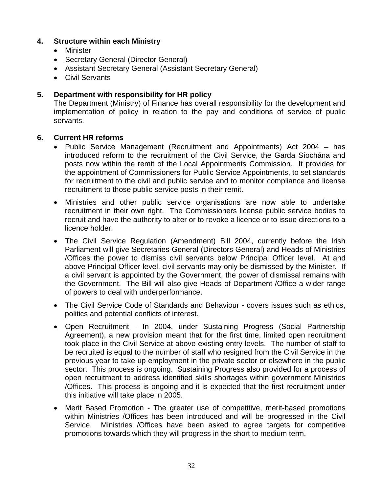- Minister
- Secretary General (Director General)
- Assistant Secretary General (Assistant Secretary General)
- Civil Servants

## **5. Department with responsibility for HR policy**

The Department (Ministry) of Finance has overall responsibility for the development and implementation of policy in relation to the pay and conditions of service of public servants.

### **6. Current HR reforms**

- Public Service Management (Recruitment and Appointments) Act 2004 has introduced reform to the recruitment of the Civil Service, the Garda Síochána and posts now within the remit of the Local Appointments Commission. It provides for the appointment of Commissioners for Public Service Appointments, to set standards for recruitment to the civil and public service and to monitor compliance and license recruitment to those public service posts in their remit.
- Ministries and other public service organisations are now able to undertake recruitment in their own right. The Commissioners license public service bodies to recruit and have the authority to alter or to revoke a licence or to issue directions to a licence holder.
- The Civil Service Regulation (Amendment) Bill 2004, currently before the Irish Parliament will give Secretaries-General (Directors General) and Heads of Ministries /Offices the power to dismiss civil servants below Principal Officer level. At and above Principal Officer level, civil servants may only be dismissed by the Minister. If a civil servant is appointed by the Government, the power of dismissal remains with the Government. The Bill will also give Heads of Department /Office a wider range of powers to deal with underperformance.
- The Civil Service Code of Standards and Behaviour covers issues such as ethics, politics and potential conflicts of interest.
- Open Recruitment In 2004, under Sustaining Progress (Social Partnership Agreement), a new provision meant that for the first time, limited open recruitment took place in the Civil Service at above existing entry levels. The number of staff to be recruited is equal to the number of staff who resigned from the Civil Service in the previous year to take up employment in the private sector or elsewhere in the public sector. This process is ongoing. Sustaining Progress also provided for a process of open recruitment to address identified skills shortages within government Ministries /Offices. This process is ongoing and it is expected that the first recruitment under this initiative will take place in 2005.
- Merit Based Promotion The greater use of competitive, merit-based promotions within Ministries /Offices has been introduced and will be progressed in the Civil Service. Ministries /Offices have been asked to agree targets for competitive promotions towards which they will progress in the short to medium term.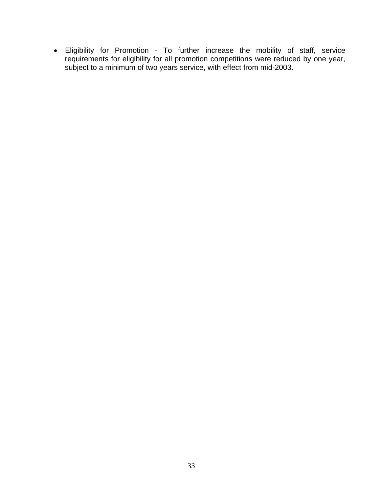Eligibility for Promotion - To further increase the mobility of staff, service requirements for eligibility for all promotion competitions were reduced by one year, subject to a minimum of two years service, with effect from mid-2003.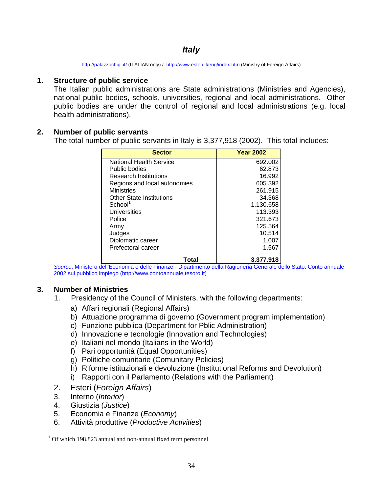## *Italy*

http://palazzochigi.it/ (ITALIAN only) / http://www.esteri.it/eng/index.htm (Ministry of Foreign Affairs)

## **1. Structure of public service**

The Italian public administrations are State administrations (Ministries and Agencies), national public bodies, schools, universities, regional and local administrations. Other public bodies are under the control of regional and local administrations (e.g. local health administrations).

## **2. Number of public servants**

The total number of public servants in Italy is 3,377,918 (2002). This total includes:

| <b>Sector</b>                   | <b>Year 2002</b> |
|---------------------------------|------------------|
| National Health Service         | 692.002          |
| Public bodies                   | 62.873           |
| <b>Research Institutions</b>    | 16.992           |
| Regions and local autonomies    | 605.392          |
| Ministries                      | 261.915          |
| <b>Other State Institutions</b> | 34.368           |
| School <sup>1</sup>             | 1.130.658        |
| Universities                    | 113.393          |
| Police                          | 321.673          |
| Army                            | 125.564          |
| Judges                          | 10.514           |
| Diplomatic career               | 1.007            |
| Prefectoral career              | 1.567            |
| Total                           | 3.377.918        |

*Source*: Ministero dell'Economia e delle Finanze - Dipartimento della Ragioneria Generale dello Stato, Conto annuale 2002 sul pubblico impiego (http://www.contoannuale.tesoro.it)

## **3. Number of Ministries**

- 1. Presidency of the Council of Ministers, with the following departments:
	- a) Affari regionali (Regional Affairs)
	- b) Attuazione programma di governo (Government program implementation)
	- c) Funzione pubblica (Department for Pblic Administration)
	- d) Innovazione e tecnologie (Innovation and Technologies)
	- e) Italiani nel mondo (Italians in the World)
	- f) Pari opportunità (Equal Opportunities)
	- g) Politiche comunitarie (Comunitary Policies)
	- h) Riforme istituzionali e devoluzione (Institutional Reforms and Devolution)
	- i) Rapporti con il Parlamento (Relations with the Parliament)
- 2. Esteri (*Foreign Affairs*)
- 3. Interno (*Interior*)
- 4. Giustizia (*Justice*)
- 5. Economia e Finanze (*Economy*)
- 6. Attività produttive (*Productive Activities*)

 $\frac{1}{1}$  $1$  Of which 198.823 annual and non-annual fixed term personnel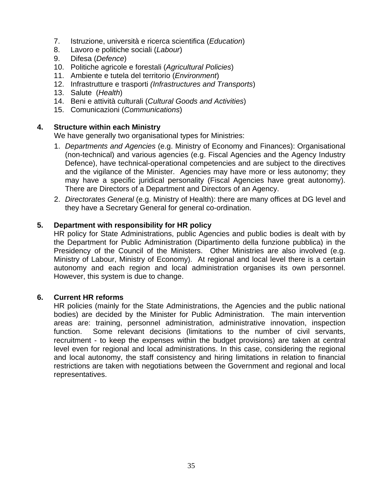- 7. Istruzione, università e ricerca scientifica (*Education*)
- 8. Lavoro e politiche sociali (*Labour*)
- 9. Difesa (*Defence*)
- 10. Politiche agricole e forestali (*Agricultural Policies*)
- 11. Ambiente e tutela del territorio (*Environment*)
- 12. Infrastrutture e trasporti *(Infrastructures and Transports*)
- 13. Salute (*Health*)
- 14. Beni e attività culturali (*Cultural Goods and Activities*)
- 15. Comunicazioni (*Communications*)

We have generally two organisational types for Ministries:

- 1. *Departments and Agencies* (e.g. Ministry of Economy and Finances): Organisational (non-technical) and various agencies (e.g. Fiscal Agencies and the Agency Industry Defence), have technical-operational competencies and are subject to the directives and the vigilance of the Minister. Agencies may have more or less autonomy; they may have a specific juridical personality (Fiscal Agencies have great autonomy). There are Directors of a Department and Directors of an Agency.
- 2. *Directorates General* (e.g. Ministry of Health): there are many offices at DG level and they have a Secretary General for general co-ordination.

## **5. Department with responsibility for HR policy**

HR policy for State Administrations, public Agencies and public bodies is dealt with by the Department for Public Administration (Dipartimento della funzione pubblica) in the Presidency of the Council of the Ministers. Other Ministries are also involved (e.g. Ministry of Labour, Ministry of Economy). At regional and local level there is a certain autonomy and each region and local administration organises its own personnel. However, this system is due to change.

### **6. Current HR reforms**

HR policies (mainly for the State Administrations, the Agencies and the public national bodies) are decided by the Minister for Public Administration. The main intervention areas are: training, personnel administration, administrative innovation, inspection function. Some relevant decisions (limitations to the number of civil servants, recruitment - to keep the expenses within the budget provisions) are taken at central level even for regional and local administrations. In this case, considering the regional and local autonomy, the staff consistency and hiring limitations in relation to financial restrictions are taken with negotiations between the Government and regional and local representatives.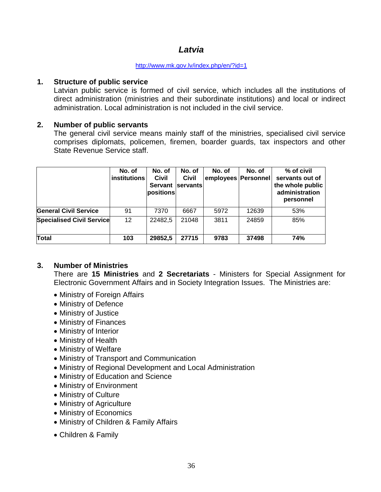## *Latvia*

#### http://www.mk.gov.lv/index.php/en/?id=1

#### **1. Structure of public service**

Latvian public service is formed of civil service, which includes all the institutions of direct administration (ministries and their subordinate institutions) and local or indirect administration. Local administration is not included in the civil service.

### **2. Number of public servants**

 The general civil service means mainly staff of the ministries, specialised civil service comprises diplomats, policemen, firemen, boarder guards, tax inspectors and other State Revenue Service staff.

|                                  | No. of<br>institutions | No. of<br>Civil<br>Servant<br>positions | No. of<br><b>Civil</b><br><b>servants</b> | No. of<br>employees   Personnel | No. of | % of civil<br>servants out of<br>the whole public<br>administration<br>personnel |
|----------------------------------|------------------------|-----------------------------------------|-------------------------------------------|---------------------------------|--------|----------------------------------------------------------------------------------|
| <b>General Civil Service</b>     | 91                     | 7370                                    | 6667                                      | 5972                            | 12639  | 53%                                                                              |
| <b>Specialised Civil Service</b> | 12                     | 22482,5                                 | 21048                                     | 3811                            | 24859  | 85%                                                                              |
| Total                            | 103                    | 29852,5                                 | 27715                                     | 9783                            | 37498  | <b>74%</b>                                                                       |

## **3. Number of Ministries**

 There are **15 Ministries** and **2 Secretariats** - Ministers for Special Assignment for Electronic Government Affairs and in Society Integration Issues. The Ministries are:

- Ministry of Foreign Affairs
- Ministry of Defence
- Ministry of Justice
- Ministry of Finances
- Ministry of Interior
- Ministry of Health
- Ministry of Welfare
- Ministry of Transport and Communication
- Ministry of Regional Development and Local Administration
- Ministry of Education and Science
- Ministry of Environment
- Ministry of Culture
- Ministry of Agriculture
- Ministry of Economics
- Ministry of Children & Family Affairs
- Children & Family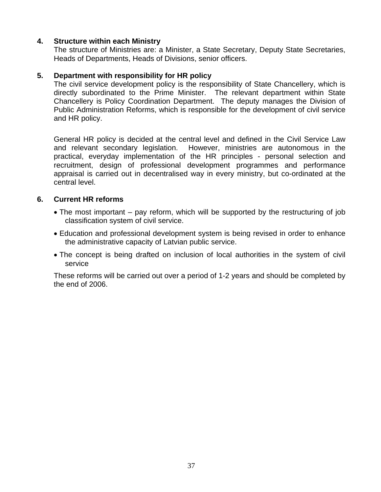### **4. Structure within each Ministry**

 The structure of Ministries are: a Minister, a State Secretary, Deputy State Secretaries, Heads of Departments, Heads of Divisions, senior officers.

### **5. Department with responsibility for HR policy**

 The civil service development policy is the responsibility of State Chancellery, which is directly subordinated to the Prime Minister. The relevant department within State Chancellery is Policy Coordination Department. The deputy manages the Division of Public Administration Reforms, which is responsible for the development of civil service and HR policy.

 General HR policy is decided at the central level and defined in the Civil Service Law and relevant secondary legislation. However, ministries are autonomous in the practical, everyday implementation of the HR principles - personal selection and recruitment, design of professional development programmes and performance appraisal is carried out in decentralised way in every ministry, but co-ordinated at the central level.

#### **6. Current HR reforms**

- The most important pay reform, which will be supported by the restructuring of job classification system of civil service.
- Education and professional development system is being revised in order to enhance the administrative capacity of Latvian public service.
- The concept is being drafted on inclusion of local authorities in the system of civil service

 These reforms will be carried out over a period of 1-2 years and should be completed by the end of 2006.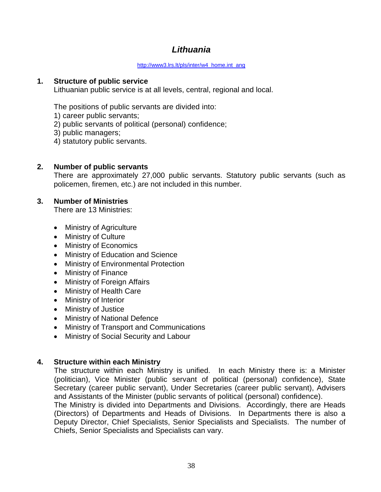# *Lithuania*

#### http://www3.lrs.lt/pls/inter/w4\_home.int\_ang

#### **1. Structure of public service**

Lithuanian public service is at all levels, central, regional and local.

The positions of public servants are divided into:

- 1) career public servants;
- 2) public servants of political (personal) confidence;
- 3) public managers;
- 4) statutory public servants.

### **2. Number of public servants**

There are approximately 27,000 public servants. Statutory public servants (such as policemen, firemen, etc.) are not included in this number.

### **3. Number of Ministries**

There are 13 Ministries:

- Ministry of Agriculture
- Ministry of Culture
- Ministry of Economics
- Ministry of Education and Science
- Ministry of Environmental Protection
- Ministry of Finance
- Ministry of Foreign Affairs
- Ministry of Health Care
- Ministry of Interior
- Ministry of Justice
- Ministry of National Defence
- Ministry of Transport and Communications
- Ministry of Social Security and Labour

## **4. Structure within each Ministry**

The structure within each Ministry is unified. In each Ministry there is: a Minister (politician), Vice Minister (public servant of political (personal) confidence), State Secretary (career public servant), Under Secretaries (career public servant), Advisers and Assistants of the Minister (public servants of political (personal) confidence).

The Ministry is divided into Departments and Divisions. Accordingly, there are Heads (Directors) of Departments and Heads of Divisions. In Departments there is also a Deputy Director, Chief Specialists, Senior Specialists and Specialists. The number of Chiefs, Senior Specialists and Specialists can vary.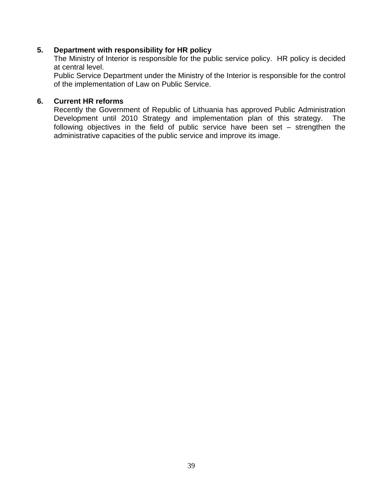#### **5. Department with responsibility for HR policy**

The Ministry of Interior is responsible for the public service policy. HR policy is decided at central level.

Public Service Department under the Ministry of the Interior is responsible for the control of the implementation of Law on Public Service.

#### **6. Current HR reforms**

Recently the Government of Republic of Lithuania has approved Public Administration Development until 2010 Strategy and implementation plan of this strategy. The following objectives in the field of public service have been set – strengthen the administrative capacities of the public service and improve its image.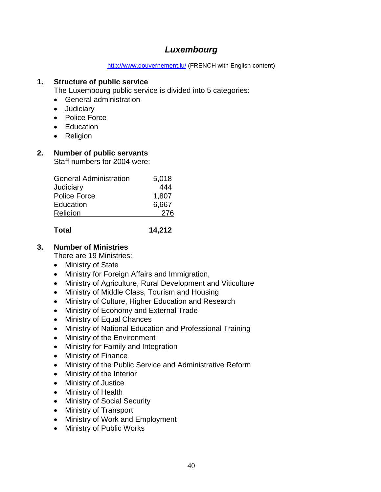# *Luxembourg*

http://www.gouvernement.lu/ (FRENCH with English content)

#### **1. Structure of public service**

The Luxembourg public service is divided into 5 categories:

- General administration
- Judiciary
- Police Force
- Education
- Religion

### **2. Number of public servants**

Staff numbers for 2004 were:

| General Administration | 5,018 |
|------------------------|-------|
| Judiciary              | 444   |
| <b>Police Force</b>    | 1,807 |
| Education              | 6,667 |
| Religion               | 276   |
|                        |       |

### **Total 14,212**

### **3. Number of Ministries**

There are 19 Ministries:

- Ministry of State
- Ministry for Foreign Affairs and Immigration,
- Ministry of Agriculture, Rural Development and Viticulture
- Ministry of Middle Class, Tourism and Housing
- Ministry of Culture, Higher Education and Research
- Ministry of Economy and External Trade
- Ministry of Equal Chances
- Ministry of National Education and Professional Training
- Ministry of the Environment
- Ministry for Family and Integration
- Ministry of Finance
- Ministry of the Public Service and Administrative Reform
- Ministry of the Interior
- Ministry of Justice
- Ministry of Health
- Ministry of Social Security
- Ministry of Transport
- Ministry of Work and Employment
- Ministry of Public Works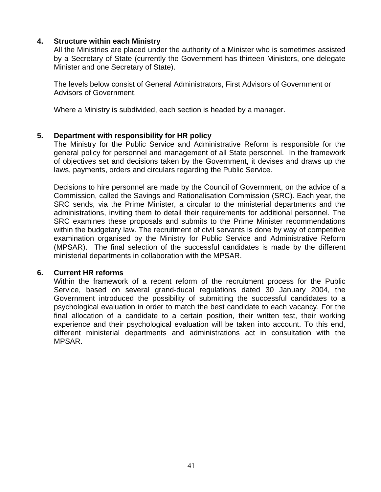#### **4. Structure within each Ministry**

All the Ministries are placed under the authority of a Minister who is sometimes assisted by a Secretary of State (currently the Government has thirteen Ministers, one delegate Minister and one Secretary of State).

The levels below consist of General Administrators, First Advisors of Government or Advisors of Government.

Where a Ministry is subdivided, each section is headed by a manager.

#### **5. Department with responsibility for HR policy**

The Ministry for the Public Service and Administrative Reform is responsible for the general policy for personnel and management of all State personnel. In the framework of objectives set and decisions taken by the Government, it devises and draws up the laws, payments, orders and circulars regarding the Public Service.

Decisions to hire personnel are made by the Council of Government, on the advice of a Commission, called the Savings and Rationalisation Commission (SRC). Each year, the SRC sends, via the Prime Minister, a circular to the ministerial departments and the administrations, inviting them to detail their requirements for additional personnel. The SRC examines these proposals and submits to the Prime Minister recommendations within the budgetary law. The recruitment of civil servants is done by way of competitive examination organised by the Ministry for Public Service and Administrative Reform (MPSAR). The final selection of the successful candidates is made by the different ministerial departments in collaboration with the MPSAR.

#### **6. Current HR reforms**

Within the framework of a recent reform of the recruitment process for the Public Service, based on several grand-ducal regulations dated 30 January 2004, the Government introduced the possibility of submitting the successful candidates to a psychological evaluation in order to match the best candidate to each vacancy. For the final allocation of a candidate to a certain position, their written test, their working experience and their psychological evaluation will be taken into account. To this end, different ministerial departments and administrations act in consultation with the MPSAR.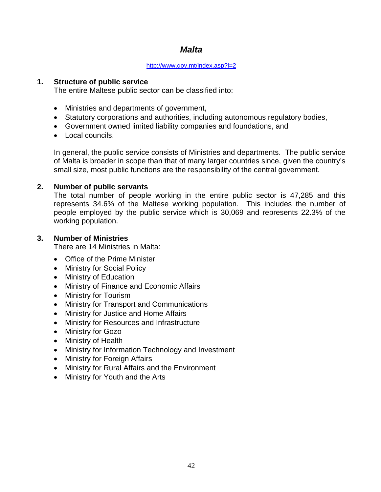# *Malta*

#### http://www.gov.mt/index.asp?l=2

#### **1. Structure of public service**

The entire Maltese public sector can be classified into:

- Ministries and departments of government,
- Statutory corporations and authorities, including autonomous regulatory bodies,
- Government owned limited liability companies and foundations, and
- Local councils.

In general, the public service consists of Ministries and departments. The public service of Malta is broader in scope than that of many larger countries since, given the country's small size, most public functions are the responsibility of the central government.

#### **2. Number of public servants**

The total number of people working in the entire public sector is 47,285 and this represents 34.6% of the Maltese working population. This includes the number of people employed by the public service which is 30,069 and represents 22.3% of the working population.

#### **3. Number of Ministries**

There are 14 Ministries in Malta:

- Office of the Prime Minister
- Ministry for Social Policy
- Ministry of Education
- Ministry of Finance and Economic Affairs
- Ministry for Tourism
- Ministry for Transport and Communications
- Ministry for Justice and Home Affairs
- Ministry for Resources and Infrastructure
- Ministry for Gozo
- Ministry of Health
- Ministry for Information Technology and Investment
- Ministry for Foreign Affairs
- Ministry for Rural Affairs and the Environment
- Ministry for Youth and the Arts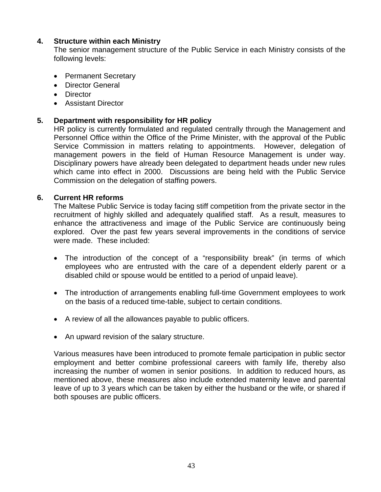### **4. Structure within each Ministry**

The senior management structure of the Public Service in each Ministry consists of the following levels:

- Permanent Secretary
- Director General
- Director
- Assistant Director

### **5. Department with responsibility for HR policy**

HR policy is currently formulated and regulated centrally through the Management and Personnel Office within the Office of the Prime Minister, with the approval of the Public Service Commission in matters relating to appointments. However, delegation of management powers in the field of Human Resource Management is under way. Disciplinary powers have already been delegated to department heads under new rules which came into effect in 2000. Discussions are being held with the Public Service Commission on the delegation of staffing powers.

#### **6. Current HR reforms**

The Maltese Public Service is today facing stiff competition from the private sector in the recruitment of highly skilled and adequately qualified staff. As a result, measures to enhance the attractiveness and image of the Public Service are continuously being explored. Over the past few years several improvements in the conditions of service were made. These included:

- The introduction of the concept of a "responsibility break" (in terms of which employees who are entrusted with the care of a dependent elderly parent or a disabled child or spouse would be entitled to a period of unpaid leave).
- The introduction of arrangements enabling full-time Government employees to work on the basis of a reduced time-table, subject to certain conditions.
- A review of all the allowances payable to public officers.
- An upward revision of the salary structure.

Various measures have been introduced to promote female participation in public sector employment and better combine professional careers with family life, thereby also increasing the number of women in senior positions. In addition to reduced hours, as mentioned above, these measures also include extended maternity leave and parental leave of up to 3 years which can be taken by either the husband or the wife, or shared if both spouses are public officers.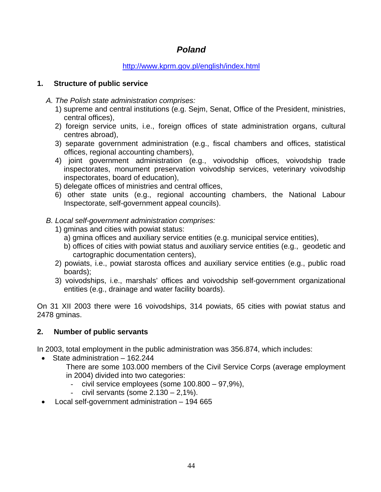# *Poland*

### http://www.kprm.gov.pl/english/index.html

### **1. Structure of public service**

- *A. The Polish state administration comprises:* 
	- 1) supreme and central institutions (e.g. Sejm, Senat, Office of the President, ministries, central offices),
	- 2) foreign service units, i.e., foreign offices of state administration organs, cultural centres abroad),
	- 3) separate government administration (e.g., fiscal chambers and offices, statistical offices, regional accounting chambers),
	- 4) joint government administration (e.g., voivodship offices, voivodship trade inspectorates, monument preservation voivodship services, veterinary voivodship inspectorates, board of education),
	- 5) delegate offices of ministries and central offices,
	- 6) other state units (e.g., regional accounting chambers, the National Labour Inspectorate, self-government appeal councils).

## *B. Local self-government administration comprises:*

- 1) gminas and cities with powiat status:
	- a) gmina offices and auxiliary service entities (e.g. municipal service entities),
	- b) offices of cities with powiat status and auxiliary service entities (e.g., geodetic and cartographic documentation centers),
- 2) powiats, i.e., powiat starosta offices and auxiliary service entities (e.g., public road boards);
- 3) voivodships, i.e., marshals' offices and voivodship self-government organizational entities (e.g., drainage and water facility boards).

On 31 XII 2003 there were 16 voivodships, 314 powiats, 65 cities with powiat status and 2478 gminas.

## **2. Number of public servants**

In 2003, total employment in the public administration was 356.874, which includes:

- State administration 162.244
	- There are some 103.000 members of the Civil Service Corps (average employment in 2004) divided into two categories:
		- civil service employees (some 100.800 97,9%),
		- civil servants (some  $2.130 2.1\%$ ).
- Local self-government administration 194 665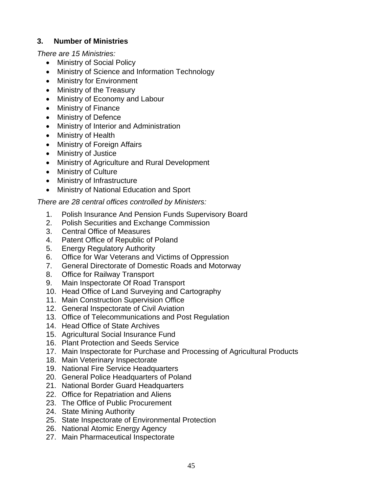### **3. Number of Ministries**

*There are 15 Ministries:* 

- Ministry of Social Policy
- Ministry of Science and Information Technology
- Ministry for Environment
- Ministry of the Treasury
- Ministry of Economy and Labour
- Ministry of Finance
- Ministry of Defence
- Ministry of Interior and Administration
- Ministry of Health
- Ministry of Foreign Affairs
- Ministry of Justice
- Ministry of Agriculture and Rural Development
- Ministry of Culture
- Ministry of Infrastructure
- Ministry of National Education and Sport

### *There are 28 central offices controlled by Ministers:*

- 1. Polish Insurance And Pension Funds Supervisory Board
- 2. Polish Securities and Exchange Commission
- 3. Central Office of Measures
- 4. Patent Office of Republic of Poland
- 5. Energy Regulatory Authority
- 6. Office for War Veterans and Victims of Oppression
- 7. General Directorate of Domestic Roads and Motorway
- 8. Office for Railway Transport
- 9. Main Inspectorate Of Road Transport
- 10. Head Office of Land Surveying and Cartography
- 11. Main Construction Supervision Office
- 12. General Inspectorate of Civil Aviation
- 13. Office of Telecommunications and Post Regulation
- 14. Head Office of State Archives
- 15. Agricultural Social Insurance Fund
- 16. Plant Protection and Seeds Service
- 17. Main Inspectorate for Purchase and Processing of Agricultural Products
- 18. Main Veterinary Inspectorate
- 19. National Fire Service Headquarters
- 20. General Police Headquarters of Poland
- 21. National Border Guard Headquarters
- 22. Office for Repatriation and Aliens
- 23. The Office of Public Procurement
- 24. State Mining Authority
- 25. State Inspectorate of Environmental Protection
- 26. National Atomic Energy Agency
- 27. Main Pharmaceutical Inspectorate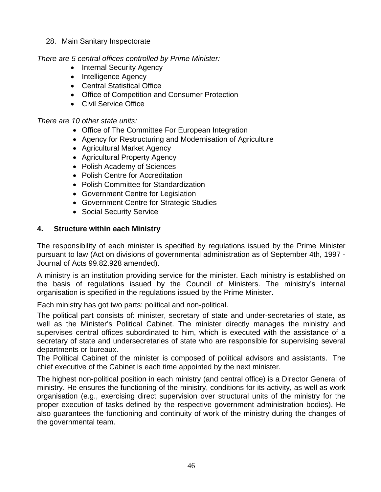28. Main Sanitary Inspectorate

*There are 5 central offices controlled by Prime Minister:* 

- Internal Security Agency
- Intelligence Agency
- Central Statistical Office
- Office of Competition and Consumer Protection
- Civil Service Office

*There are 10 other state units:* 

- Office of The Committee For European Integration
- Agency for Restructuring and Modernisation of Agriculture
- Agricultural Market Agency
- Agricultural Property Agency
- Polish Academy of Sciences
- Polish Centre for Accreditation
- Polish Committee for Standardization
- Government Centre for Legislation
- Government Centre for Strategic Studies
- Social Security Service

### **4. Structure within each Ministry**

The responsibility of each minister is specified by regulations issued by the Prime Minister pursuant to law (Act on divisions of governmental administration as of September 4th, 1997 - Journal of Acts 99.82.928 amended).

A ministry is an institution providing service for the minister. Each ministry is established on the basis of regulations issued by the Council of Ministers. The ministry's internal organisation is specified in the regulations issued by the Prime Minister.

Each ministry has got two parts: political and non-political.

The political part consists of: minister, secretary of state and under-secretaries of state, as well as the Minister's Political Cabinet. The minister directly manages the ministry and supervises central offices subordinated to him, which is executed with the assistance of a secretary of state and undersecretaries of state who are responsible for supervising several departments or bureaux.

The Political Cabinet of the minister is composed of political advisors and assistants. The chief executive of the Cabinet is each time appointed by the next minister.

The highest non-political position in each ministry (and central office) is a Director General of ministry. He ensures the functioning of the ministry, conditions for its activity, as well as work organisation (e.g., exercising direct supervision over structural units of the ministry for the proper execution of tasks defined by the respective government administration bodies). He also guarantees the functioning and continuity of work of the ministry during the changes of the governmental team.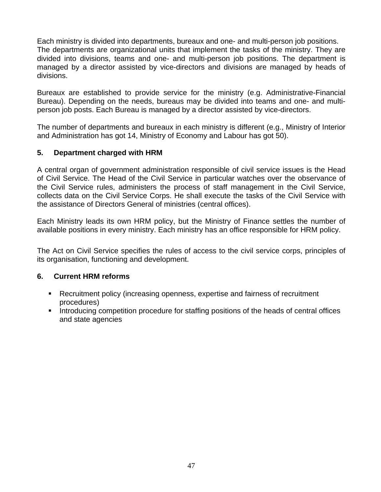Each ministry is divided into departments, bureaux and one- and multi-person job positions. The departments are organizational units that implement the tasks of the ministry. They are divided into divisions, teams and one- and multi-person job positions. The department is managed by a director assisted by vice-directors and divisions are managed by heads of divisions.

Bureaux are established to provide service for the ministry (e.g. Administrative-Financial Bureau). Depending on the needs, bureaus may be divided into teams and one- and multiperson job posts. Each Bureau is managed by a director assisted by vice-directors.

The number of departments and bureaux in each ministry is different (e.g., Ministry of Interior and Administration has got 14, Ministry of Economy and Labour has got 50).

### **5. Department charged with HRM**

A central organ of government administration responsible of civil service issues is the Head of Civil Service. The Head of the Civil Service in particular watches over the observance of the Civil Service rules, administers the process of staff management in the Civil Service, collects data on the Civil Service Corps. He shall execute the tasks of the Civil Service with the assistance of Directors General of ministries (central offices).

Each Ministry leads its own HRM policy, but the Ministry of Finance settles the number of available positions in every ministry. Each ministry has an office responsible for HRM policy.

The Act on Civil Service specifies the rules of access to the civil service corps, principles of its organisation, functioning and development.

### **6. Current HRM reforms**

- Recruitment policy (increasing openness, expertise and fairness of recruitment procedures)
- **Introducing competition procedure for staffing positions of the heads of central offices** and state agencies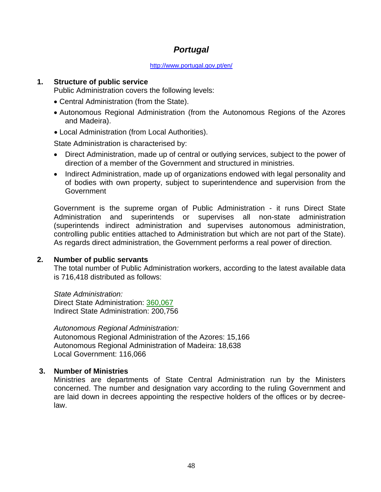# *Portugal*

#### http://www.portugal.gov.pt/en/

### **1. Structure of public service**

Public Administration covers the following levels:

- Central Administration (from the State).
- Autonomous Regional Administration (from the Autonomous Regions of the Azores and Madeira).
- Local Administration (from Local Authorities).

State Administration is characterised by:

- Direct Administration, made up of central or outlying services, subject to the power of direction of a member of the Government and structured in ministries.
- Indirect Administration, made up of organizations endowed with legal personality and of bodies with own property, subject to superintendence and supervision from the **Government**

Government is the supreme organ of Public Administration - it runs Direct State Administration and superintends or supervises all non-state administration (superintends indirect administration and supervises autonomous administration, controlling public entities attached to Administration but which are not part of the State). As regards direct administration, the Government performs a real power of direction.

#### **2. Number of public servants**

The total number of Public Administration workers, according to the latest available data is 716,418 distributed as follows:

*State Administration:*  Direct State Administration: 360,067 Indirect State Administration: 200,756

*Autonomous Regional Administration:*  Autonomous Regional Administration of the Azores: 15,166 Autonomous Regional Administration of Madeira: 18,638 Local Government: 116,066

#### **3. Number of Ministries**

Ministries are departments of State Central Administration run by the Ministers concerned. The number and designation vary according to the ruling Government and are laid down in decrees appointing the respective holders of the offices or by decreelaw.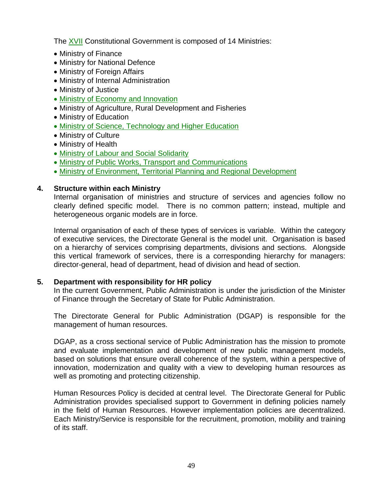The XVII Constitutional Government is composed of 14 Ministries:

- Ministry of Finance
- Ministry for National Defence
- Ministry of Foreign Affairs
- Ministry of Internal Administration
- Ministry of Justice
- Ministry of Economy and Innovation
- Ministry of Agriculture, Rural Development and Fisheries
- Ministry of Education
- Ministry of Science, Technology and Higher Education
- Ministry of Culture
- Ministry of Health
- Ministry of Labour and Social Solidarity
- Ministry of Public Works, Transport and Communications
- Ministry of Environment, Territorial Planning and Regional Development

### **4. Structure within each Ministry**

Internal organisation of ministries and structure of services and agencies follow no clearly defined specific model. There is no common pattern; instead, multiple and heterogeneous organic models are in force.

Internal organisation of each of these types of services is variable. Within the category of executive services, the Directorate General is the model unit. Organisation is based on a hierarchy of services comprising departments, divisions and sections. Alongside this vertical framework of services, there is a corresponding hierarchy for managers: director-general, head of department, head of division and head of section.

### **5. Department with responsibility for HR policy**

In the current Government, Public Administration is under the jurisdiction of the Minister of Finance through the Secretary of State for Public Administration.

The Directorate General for Public Administration (DGAP) is responsible for the management of human resources.

DGAP, as a cross sectional service of Public Administration has the mission to promote and evaluate implementation and development of new public management models, based on solutions that ensure overall coherence of the system, within a perspective of innovation, modernization and quality with a view to developing human resources as well as promoting and protecting citizenship.

Human Resources Policy is decided at central level. The Directorate General for Public Administration provides specialised support to Government in defining policies namely in the field of Human Resources. However implementation policies are decentralized. Each Ministry/Service is responsible for the recruitment, promotion, mobility and training of its staff.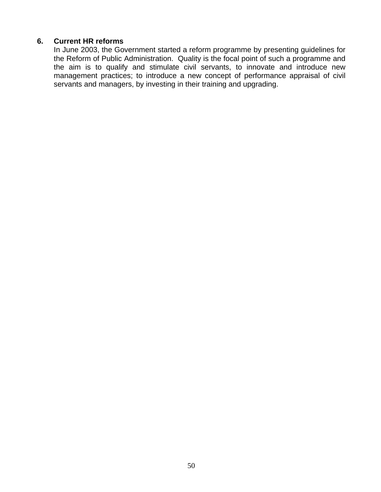#### **6. Current HR reforms**

In June 2003, the Government started a reform programme by presenting guidelines for the Reform of Public Administration. Quality is the focal point of such a programme and the aim is to qualify and stimulate civil servants, to innovate and introduce new management practices; to introduce a new concept of performance appraisal of civil servants and managers, by investing in their training and upgrading.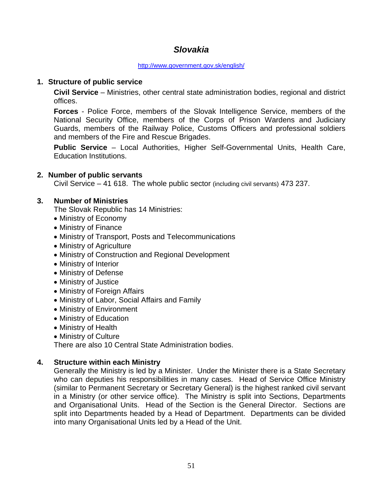# *Slovakia*

#### http://www.government.gov.sk/english/

### **1. Structure of public service**

**Civil Service** – Ministries, other central state administration bodies, regional and district offices.

**Forces** - Police Force, members of the Slovak Intelligence Service, members of the National Security Office, members of the Corps of Prison Wardens and Judiciary Guards, members of the Railway Police, Customs Officers and professional soldiers and members of the Fire and Rescue Brigades.

**Public Service** – Local Authorities, Higher Self-Governmental Units, Health Care, Education Institutions.

### **2. Number of public servants**

Civil Service – 41 618. The whole public sector (including civil servants) 473 237.

### **3. Number of Ministries**

The Slovak Republic has 14 Ministries:

- Ministry of Economy
- Ministry of Finance
- Ministry of Transport, Posts and Telecommunications
- Ministry of Agriculture
- Ministry of Construction and Regional Development
- Ministry of Interior
- Ministry of Defense
- Ministry of Justice
- Ministry of Foreign Affairs
- Ministry of Labor, Social Affairs and Family
- Ministry of Environment
- Ministry of Education
- Ministry of Health
- Ministry of Culture

There are also 10 Central State Administration bodies.

### **4. Structure within each Ministry**

Generally the Ministry is led by a Minister. Under the Minister there is a State Secretary who can deputies his responsibilities in many cases. Head of Service Office Ministry (similar to Permanent Secretary or Secretary General) is the highest ranked civil servant in a Ministry (or other service office). The Ministry is split into Sections, Departments and Organisational Units. Head of the Section is the General Director. Sections are split into Departments headed by a Head of Department. Departments can be divided into many Organisational Units led by a Head of the Unit.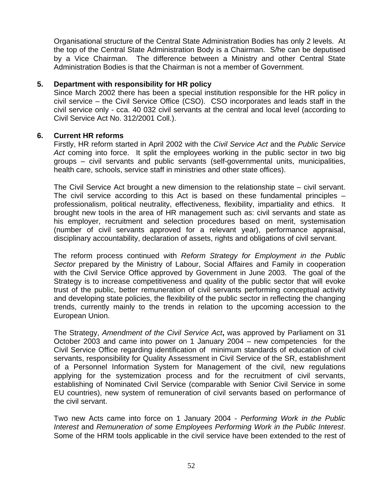Organisational structure of the Central State Administration Bodies has only 2 levels. At the top of the Central State Administration Body is a Chairman. S/he can be deputised by a Vice Chairman. The difference between a Ministry and other Central State Administration Bodies is that the Chairman is not a member of Government.

#### **5. Department with responsibility for HR policy**

Since March 2002 there has been a special institution responsible for the HR policy in civil service – the Civil Service Office (CSO). CSO incorporates and leads staff in the civil service only - cca. 40 032 civil servants at the central and local level (according to Civil Service Act No. 312/2001 Coll.).

#### **6. Current HR reforms**

Firstly, HR reform started in April 2002 with the *Civil Service Act* and the *Public Service Act* coming into force. It split the employees working in the public sector in two big groups – civil servants and public servants (self-governmental units, municipalities, health care, schools, service staff in ministries and other state offices).

The Civil Service Act brought a new dimension to the relationship state – civil servant. The civil service according to this Act is based on these fundamental principles – professionalism, political neutrality, effectiveness, flexibility, impartiality and ethics. It brought new tools in the area of HR management such as: civil servants and state as his employer, recruitment and selection procedures based on merit, systemisation (number of civil servants approved for a relevant year), performance appraisal, disciplinary accountability, declaration of assets, rights and obligations of civil servant.

The reform process continued with *Reform Strategy for Employment in the Public Sector* prepared by the Ministry of Labour, Social Affaires and Family in cooperation with the Civil Service Office approved by Government in June 2003. The goal of the Strategy is to increase competitiveness and quality of the public sector that will evoke trust of the public, better remuneration of civil servants performing conceptual activity and developing state policies, the flexibility of the public sector in reflecting the changing trends, currently mainly to the trends in relation to the upcoming accession to the European Union.

The Strategy, *Amendment of the Civil Service Act***,** was approved by Parliament on 31 October 2003 and came into power on 1 January 2004 – new competencies for the Civil Service Office regarding identification of minimum standards of education of civil servants, responsibility for Quality Assessment in Civil Service of the SR, establishment of a Personnel Information System for Management of the civil, new regulations applying for the systemization process and for the recruitment of civil servants, establishing of Nominated Civil Service (comparable with Senior Civil Service in some EU countries), new system of remuneration of civil servants based on performance of the civil servant.

Two new Acts came into force on 1 January 2004 - *Performing Work in the Public Interest* and *Remuneration of some Employees Performing Work in the Public Interest*. Some of the HRM tools applicable in the civil service have been extended to the rest of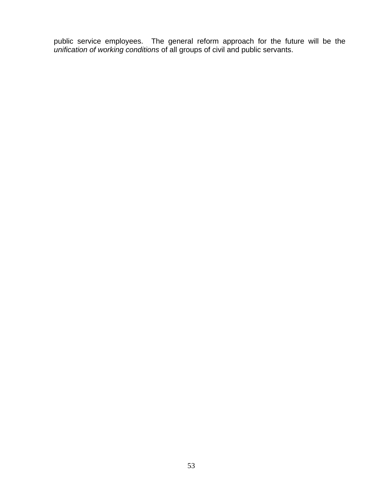public service employees. The general reform approach for the future will be the *unification of working conditions* of all groups of civil and public servants.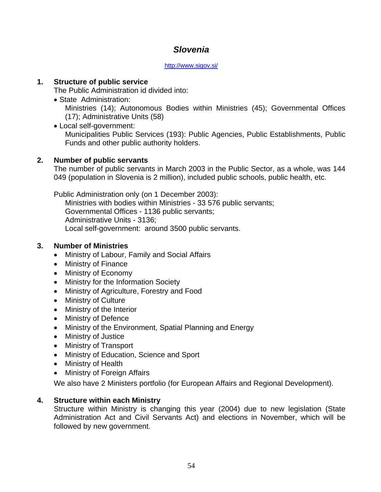# *Slovenia*

#### http://www.sigov.si/

### **1. Structure of public service**

The Public Administration id divided into:

State Administration:

Ministries (14); Autonomous Bodies within Ministries (45); Governmental Offices (17); Administrative Units (58)

 Local self-government: Municipalities Public Services (193): Public Agencies, Public Establishments, Public Funds and other public authority holders.

### **2. Number of public servants**

The number of public servants in March 2003 in the Public Sector, as a whole, was 144 049 (population in Slovenia is 2 million), included public schools, public health, etc.

Public Administration only (on 1 December 2003):

Ministries with bodies within Ministries - 33 576 public servants; Governmental Offices - 1136 public servants; Administrative Units - 3136; Local self-government: around 3500 public servants.

### **3. Number of Ministries**

- Ministry of Labour, Family and Social Affairs
- Ministry of Finance
- Ministry of Economy
- Ministry for the Information Society
- Ministry of Agriculture, Forestry and Food
- Ministry of Culture
- Ministry of the Interior
- Ministry of Defence
- Ministry of the Environment, Spatial Planning and Energy
- Ministry of Justice
- Ministry of Transport
- Ministry of Education, Science and Sport
- Ministry of Health
- Ministry of Foreign Affairs

We also have 2 Ministers portfolio (for European Affairs and Regional Development).

### **4. Structure within each Ministry**

Structure within Ministry is changing this year (2004) due to new legislation (State Administration Act and Civil Servants Act) and elections in November, which will be followed by new government.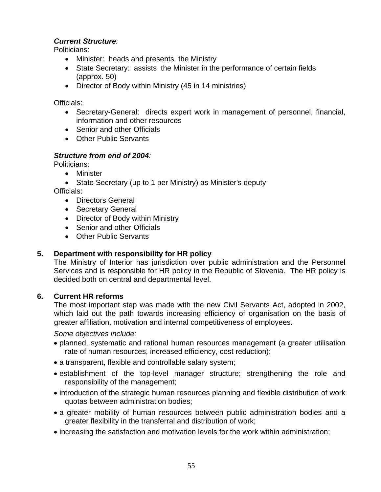### *Current Structure:*

Politicians:

- Minister: heads and presents the Ministry
- State Secretary: assists the Minister in the performance of certain fields (approx. 50)
- Director of Body within Ministry (45 in 14 ministries)

Officials:

- Secretary-General: directs expert work in management of personnel, financial, information and other resources
- Senior and other Officials
- Other Public Servants

### *Structure from end of 2004:*

Politicians:

- Minister
- State Secretary (up to 1 per Ministry) as Minister's deputy

Officials:

- Directors General
- Secretary General
- Director of Body within Ministry
- Senior and other Officials
- Other Public Servants

## **5. Department with responsibility for HR policy**

The Ministry of Interior has jurisdiction over public administration and the Personnel Services and is responsible for HR policy in the Republic of Slovenia. The HR policy is decided both on central and departmental level.

### **6. Current HR reforms**

The most important step was made with the new Civil Servants Act, adopted in 2002, which laid out the path towards increasing efficiency of organisation on the basis of greater affiliation, motivation and internal competitiveness of employees.

*Some objectives include:* 

- planned, systematic and rational human resources management (a greater utilisation rate of human resources, increased efficiency, cost reduction);
- a transparent, flexible and controllable salary system;
- establishment of the top-level manager structure; strengthening the role and responsibility of the management;
- introduction of the strategic human resources planning and flexible distribution of work quotas between administration bodies;
- a greater mobility of human resources between public administration bodies and a greater flexibility in the transferral and distribution of work;
- increasing the satisfaction and motivation levels for the work within administration;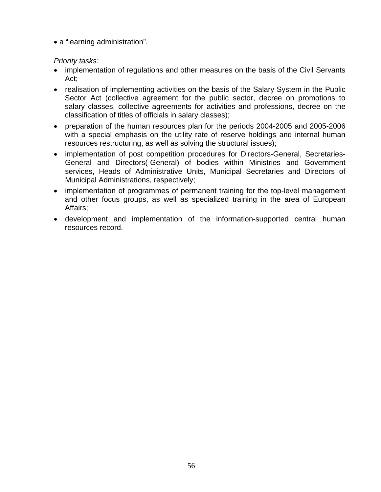a "learning administration".

### *Priority tasks:*

- implementation of regulations and other measures on the basis of the Civil Servants Act;
- realisation of implementing activities on the basis of the Salary System in the Public Sector Act (collective agreement for the public sector, decree on promotions to salary classes, collective agreements for activities and professions, decree on the classification of titles of officials in salary classes);
- preparation of the human resources plan for the periods 2004-2005 and 2005-2006 with a special emphasis on the utility rate of reserve holdings and internal human resources restructuring, as well as solving the structural issues);
- implementation of post competition procedures for Directors-General, Secretaries-General and Directors(-General) of bodies within Ministries and Government services, Heads of Administrative Units, Municipal Secretaries and Directors of Municipal Administrations, respectively;
- implementation of programmes of permanent training for the top-level management and other focus groups, as well as specialized training in the area of European Affairs;
- development and implementation of the information-supported central human resources record.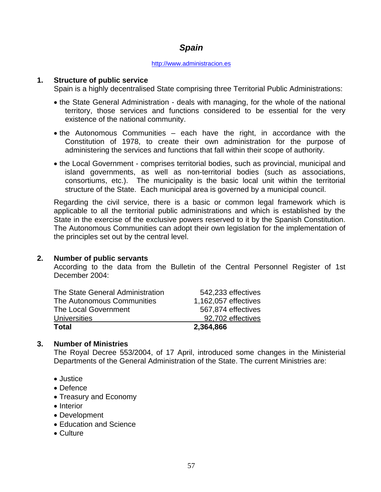# *Spain*

#### http://www.administracion.es

#### **1. Structure of public service**

Spain is a highly decentralised State comprising three Territorial Public Administrations:

- the State General Administration deals with managing, for the whole of the national territory, those services and functions considered to be essential for the very existence of the national community.
- the Autonomous Communities each have the right, in accordance with the Constitution of 1978, to create their own administration for the purpose of administering the services and functions that fall within their scope of authority.
- the Local Government comprises territorial bodies, such as provincial, municipal and island governments, as well as non-territorial bodies (such as associations, consortiums, etc.). The municipality is the basic local unit within the territorial structure of the State. Each municipal area is governed by a municipal council.

Regarding the civil service, there is a basic or common legal framework which is applicable to all the territorial public administrations and which is established by the State in the exercise of the exclusive powers reserved to it by the Spanish Constitution. The Autonomous Communities can adopt their own legislation for the implementation of the principles set out by the central level.

#### **2. Number of public servants**

According to the data from the Bulletin of the Central Personnel Register of 1st December 2004:

| The State General Administration | 542,233 effectives   |
|----------------------------------|----------------------|
| The Autonomous Communities       | 1,162,057 effectives |
| The Local Government             | 567,874 effectives   |
| <b>Universities</b>              | 92,702 effectives    |
| Total                            | 2,364,866            |

#### **3. Number of Ministries**

The Royal Decree 553/2004, of 17 April, introduced some changes in the Ministerial Departments of the General Administration of the State. The current Ministries are:

- Justice
- Defence
- Treasury and Economy
- Interior
- Development
- Education and Science
- Culture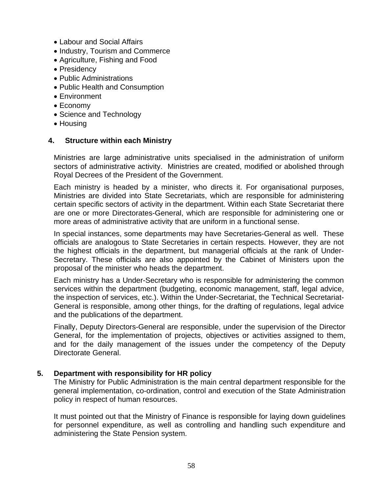- Labour and Social Affairs
- Industry, Tourism and Commerce
- Agriculture, Fishing and Food
- Presidency
- Public Administrations
- Public Health and Consumption
- Environment
- Economy
- Science and Technology
- Housing

### **4. Structure within each Ministry**

Ministries are large administrative units specialised in the administration of uniform sectors of administrative activity. Ministries are created, modified or abolished through Royal Decrees of the President of the Government.

Each ministry is headed by a minister, who directs it. For organisational purposes, Ministries are divided into State Secretariats, which are responsible for administering certain specific sectors of activity in the department. Within each State Secretariat there are one or more Directorates-General, which are responsible for administering one or more areas of administrative activity that are uniform in a functional sense.

In special instances, some departments may have Secretaries-General as well. These officials are analogous to State Secretaries in certain respects. However, they are not the highest officials in the department, but managerial officials at the rank of Under-Secretary. These officials are also appointed by the Cabinet of Ministers upon the proposal of the minister who heads the department.

Each ministry has a Under-Secretary who is responsible for administering the common services within the department (budgeting, economic management, staff, legal advice, the inspection of services, etc.). Within the Under-Secretariat, the Technical Secretariat-General is responsible, among other things, for the drafting of regulations, legal advice and the publications of the department.

Finally, Deputy Directors-General are responsible, under the supervision of the Director General, for the implementation of projects, objectives or activities assigned to them, and for the daily management of the issues under the competency of the Deputy Directorate General.

### **5. Department with responsibility for HR policy**

The Ministry for Public Administration is the main central department responsible for the general implementation, co-ordination, control and execution of the State Administration policy in respect of human resources.

It must pointed out that the Ministry of Finance is responsible for laying down guidelines for personnel expenditure, as well as controlling and handling such expenditure and administering the State Pension system.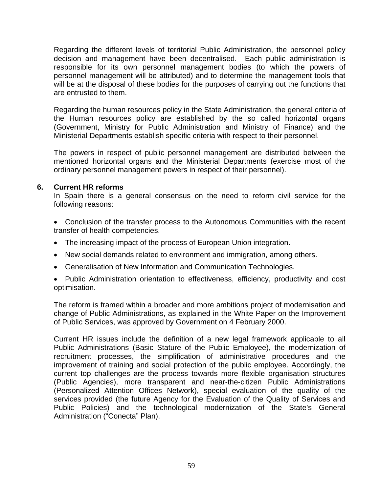Regarding the different levels of territorial Public Administration, the personnel policy decision and management have been decentralised. Each public administration is responsible for its own personnel management bodies (to which the powers of personnel management will be attributed) and to determine the management tools that will be at the disposal of these bodies for the purposes of carrying out the functions that are entrusted to them.

Regarding the human resources policy in the State Administration, the general criteria of the Human resources policy are established by the so called horizontal organs (Government, Ministry for Public Administration and Ministry of Finance) and the Ministerial Departments establish specific criteria with respect to their personnel.

The powers in respect of public personnel management are distributed between the mentioned horizontal organs and the Ministerial Departments (exercise most of the ordinary personnel management powers in respect of their personnel).

#### **6. Current HR reforms**

 In Spain there is a general consensus on the need to reform civil service for the following reasons:

- Conclusion of the transfer process to the Autonomous Communities with the recent transfer of health competencies.
- The increasing impact of the process of European Union integration.
- New social demands related to environment and immigration, among others.
- Generalisation of New Information and Communication Technologies.

• Public Administration orientation to effectiveness, efficiency, productivity and cost optimisation.

 The reform is framed within a broader and more ambitions project of modernisation and change of Public Administrations, as explained in the White Paper on the Improvement of Public Services, was approved by Government on 4 February 2000.

Current HR issues include the definition of a new legal framework applicable to all Public Administrations (Basic Stature of the Public Employee), the modernization of recruitment processes, the simplification of administrative procedures and the improvement of training and social protection of the public employee. Accordingly, the current top challenges are the process towards more flexible organisation structures (Public Agencies), more transparent and near-the-citizen Public Administrations (Personalized Attention Offices Network), special evaluation of the quality of the services provided (the future Agency for the Evaluation of the Quality of Services and Public Policies) and the technological modernization of the State's General Administration ("Conecta" Plan).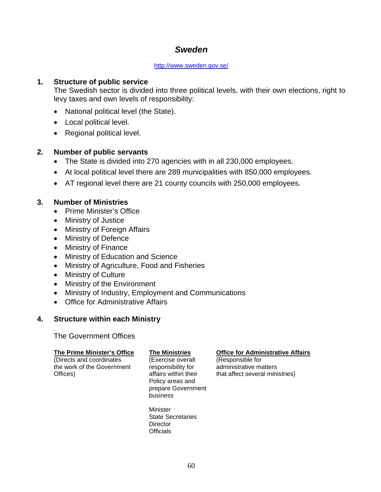# *Sweden*

#### http://www.sweden.gov.se/

### **1. Structure of public service**

The Swedish sector is divided into three political levels, with their own elections, right to levy taxes and own levels of responsibility:

- National political level (the State).
- Local political level.
- Regional political level.

### **2. Number of public servants**

- The State is divided into 270 agencies with in all 230,000 employees.
- At local political level there are 289 municipalities with 850,000 employees.
- AT regional level there are 21 county councils with 250,000 employees.

### **3. Number of Ministries**

- Prime Minister's Office
- Ministry of Justice
- Ministry of Foreign Affairs
- Ministry of Defence
- Ministry of Finance
- Ministry of Education and Science
- Ministry of Agriculture, Food and Fisheries
- Ministry of Culture
- Ministry of the Environment
- Ministry of Industry, Employment and Communications
- Office for Administrative Affairs

#### **4. Structure within each Ministry**

The Government Offices

| The Prime Minister's Office<br>(Directs and coordinates<br>the work of the Government<br>Offices) | <b>The Ministries</b><br>(Exercise overall<br>responsibility for<br>affairs within their<br>Policy areas and<br>prepare Government<br>business | <b>Office for Administrative Affairs</b><br>(Responsible for<br>administrative matters<br>that affect several ministries) |
|---------------------------------------------------------------------------------------------------|------------------------------------------------------------------------------------------------------------------------------------------------|---------------------------------------------------------------------------------------------------------------------------|
|                                                                                                   | Minister<br><b>State Secretaries</b><br>Director                                                                                               |                                                                                                                           |

**Officials**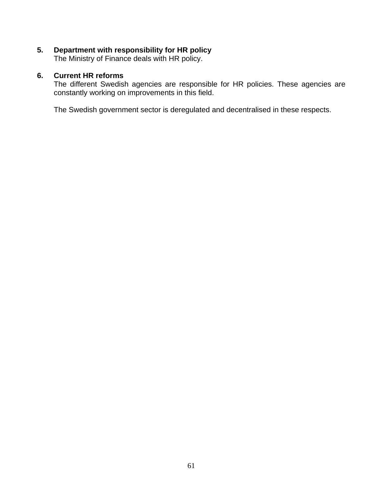### **5. Department with responsibility for HR policy**

The Ministry of Finance deals with HR policy.

### **6. Current HR reforms**

The different Swedish agencies are responsible for HR policies. These agencies are constantly working on improvements in this field.

The Swedish government sector is deregulated and decentralised in these respects.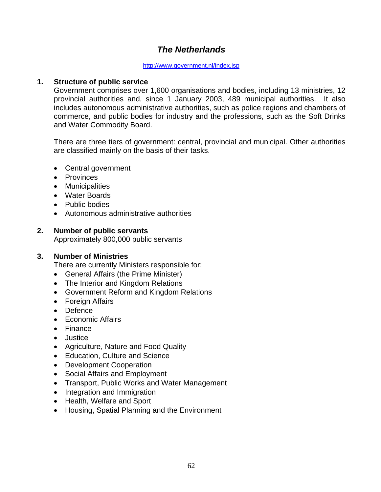# *The Netherlands*

#### http://www.government.nl/index.jsp

#### **1. Structure of public service**

Government comprises over 1,600 organisations and bodies, including 13 ministries, 12 provincial authorities and, since 1 January 2003, 489 municipal authorities. It also includes autonomous administrative authorities, such as police regions and chambers of commerce, and public bodies for industry and the professions, such as the Soft Drinks and Water Commodity Board.

There are three tiers of government: central, provincial and municipal. Other authorities are classified mainly on the basis of their tasks.

- Central government
- Provinces
- Municipalities
- Water Boards
- Public bodies
- Autonomous administrative authorities

#### **2. Number of public servants**

Approximately 800,000 public servants

#### **3. Number of Ministries**

There are currently Ministers responsible for:

- General Affairs (the Prime Minister)
- The Interior and Kingdom Relations
- Government Reform and Kingdom Relations
- Foreign Affairs
- Defence
- Economic Affairs
- Finance
- Justice
- Agriculture, Nature and Food Quality
- Education, Culture and Science
- Development Cooperation
- Social Affairs and Employment
- Transport, Public Works and Water Management
- Integration and Immigration
- Health, Welfare and Sport
- Housing, Spatial Planning and the Environment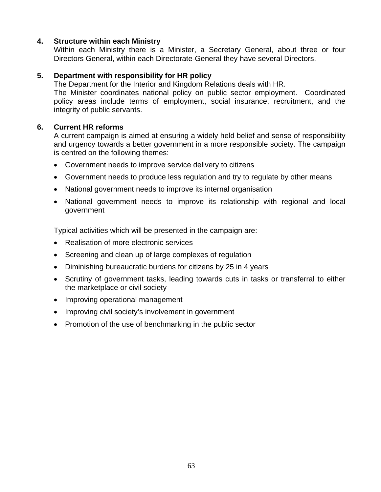### **4. Structure within each Ministry**

Within each Ministry there is a Minister, a Secretary General, about three or four Directors General, within each Directorate-General they have several Directors.

### **5. Department with responsibility for HR policy**

The Department for the Interior and Kingdom Relations deals with HR.

The Minister coordinates national policy on public sector employment. Coordinated policy areas include terms of employment, social insurance, recruitment, and the integrity of public servants.

### **6. Current HR reforms**

A current campaign is aimed at ensuring a widely held belief and sense of responsibility and urgency towards a better government in a more responsible society. The campaign is centred on the following themes:

- Government needs to improve service delivery to citizens
- Government needs to produce less regulation and try to regulate by other means
- National government needs to improve its internal organisation
- National government needs to improve its relationship with regional and local government

Typical activities which will be presented in the campaign are:

- Realisation of more electronic services
- Screening and clean up of large complexes of regulation
- Diminishing bureaucratic burdens for citizens by 25 in 4 years
- Scrutiny of government tasks, leading towards cuts in tasks or transferral to either the marketplace or civil society
- Improving operational management
- Improving civil society's involvement in government
- Promotion of the use of benchmarking in the public sector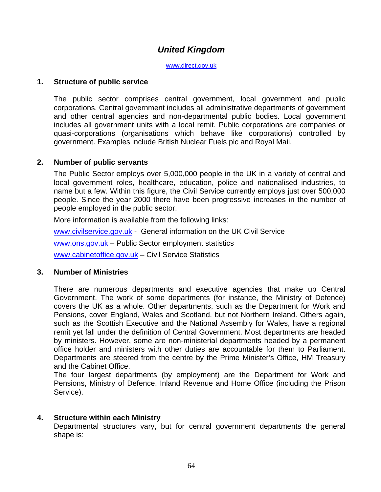# *United Kingdom*

www.direct.gov.uk

#### **1. Structure of public service**

The public sector comprises central government, local government and public corporations. Central government includes all administrative departments of government and other central agencies and non-departmental public bodies. Local government includes all government units with a local remit. Public corporations are companies or quasi-corporations (organisations which behave like corporations) controlled by government. Examples include British Nuclear Fuels plc and Royal Mail.

#### **2. Number of public servants**

The Public Sector employs over 5,000,000 people in the UK in a variety of central and local government roles, healthcare, education, police and nationalised industries, to name but a few. Within this figure, the Civil Service currently employs just over 500,000 people. Since the year 2000 there have been progressive increases in the number of people employed in the public sector.

More information is available from the following links:

www.civilservice.gov.uk - General information on the UK Civil Service

www.ons.gov.uk – Public Sector employment statistics

www.cabinetoffice.gov.uk – Civil Service Statistics

#### **3. Number of Ministries**

There are numerous departments and executive agencies that make up Central Government. The work of some departments (for instance, the Ministry of Defence) covers the UK as a whole. Other departments, such as the Department for Work and Pensions, cover England, Wales and Scotland, but not Northern Ireland. Others again, such as the Scottish Executive and the National Assembly for Wales, have a regional remit yet fall under the definition of Central Government. Most departments are headed by ministers. However, some are non-ministerial departments headed by a permanent office holder and ministers with other duties are accountable for them to Parliament. Departments are steered from the centre by the Prime Minister's Office, HM Treasury and the Cabinet Office.

The four largest departments (by employment) are the Department for Work and Pensions, Ministry of Defence, Inland Revenue and Home Office (including the Prison Service).

#### **4. Structure within each Ministry**

Departmental structures vary, but for central government departments the general shape is: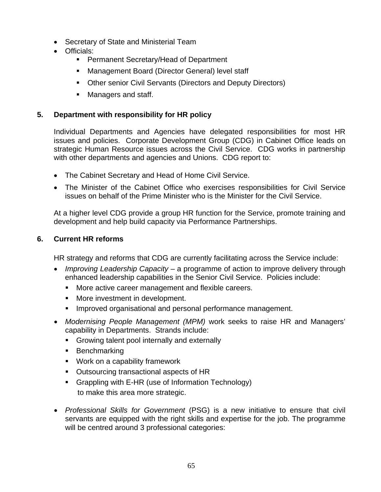- Secretary of State and Ministerial Team
- Officials:
	- **Permanent Secretary/Head of Department**
	- **Management Board (Director General) level staff**
	- Other senior Civil Servants (Directors and Deputy Directors)
	- **Managers and staff.**

### **5. Department with responsibility for HR policy**

Individual Departments and Agencies have delegated responsibilities for most HR issues and policies. Corporate Development Group (CDG) in Cabinet Office leads on strategic Human Resource issues across the Civil Service. CDG works in partnership with other departments and agencies and Unions. CDG report to:

- The Cabinet Secretary and Head of Home Civil Service.
- The Minister of the Cabinet Office who exercises responsibilities for Civil Service issues on behalf of the Prime Minister who is the Minister for the Civil Service.

At a higher level CDG provide a group HR function for the Service, promote training and development and help build capacity via Performance Partnerships.

### **6. Current HR reforms**

HR strategy and reforms that CDG are currently facilitating across the Service include:

- *Improving Leadership Capacity* a programme of action to improve delivery through enhanced leadership capabilities in the Senior Civil Service. Policies include:
	- **More active career management and flexible careers.**
	- **More investment in development.**
	- **IMPROVED STAND IS 2018 120 STANDER** improved organisational and personal performance management.
- *Modernising People Management (MPM)* work seeks to raise HR and Managers' capability in Departments. Strands include:
	- **Growing talent pool internally and externally**
	- Benchmarking
	- Work on a capability framework
	- Outsourcing transactional aspects of HR
	- Grappling with E-HR (use of Information Technology) to make this area more strategic.
- *Professional Skills for Government* (PSG) is a new initiative to ensure that civil servants are equipped with the right skills and expertise for the job. The programme will be centred around 3 professional categories: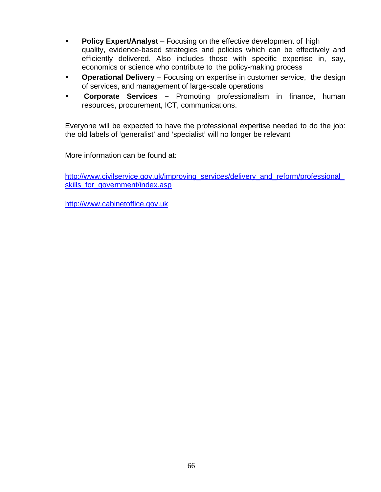- **Policy Expert/Analyst** Focusing on the effective development of high quality, evidence-based strategies and policies which can be effectively and efficiently delivered. Also includes those with specific expertise in, say, economics or science who contribute to the policy-making process
- **Operational Delivery** Focusing on expertise in customer service, the design of services, and management of large-scale operations
- **Corporate Services** Promoting professionalism in finance, human resources, procurement, ICT, communications.

Everyone will be expected to have the professional expertise needed to do the job: the old labels of 'generalist' and 'specialist' will no longer be relevant

More information can be found at:

http://www.civilservice.gov.uk/improving\_services/delivery\_and\_reform/professional skills for government/index.asp

http://www.cabinetoffice.gov.uk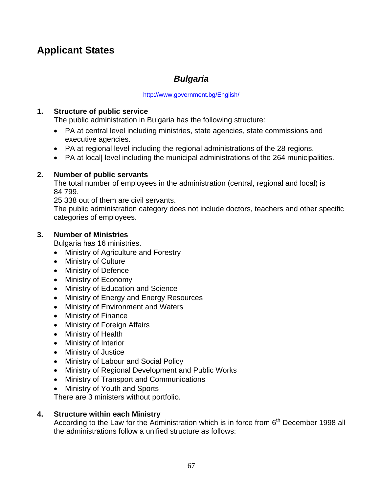# **Applicant States**

# *Bulgaria*

#### http://www.government.bg/English/

### **1. Structure of public service**

The public administration in Bulgaria has the following structure:

- PA at central level including ministries, state agencies, state commissions and executive agencies.
- PA at regional level including the regional administrations of the 28 regions.
- PA at local| level including the municipal administrations of the 264 municipalities.

### **2. Number of public servants**

The total number of employees in the administration (central, regional and local) is 84 799.

25 338 out of them are civil servants.

The public administration category does not include doctors, teachers and other specific categories of employees.

### **3. Number of Ministries**

Bulgaria has 16 ministries.

- Ministry of Agriculture and Forestry
- Ministry of Culture
- Ministry of Defence
- Ministry of Economy
- Ministry of Education and Science
- Ministry of Energy and Energy Resources
- Ministry of Environment and Waters
- Ministry of Finance
- Ministry of Foreign Affairs
- Ministry of Health
- Ministry of Interior
- Ministry of Justice
- Ministry of Labour and Social Policy
- Ministry of Regional Development and Public Works
- Ministry of Transport and Communications
- Ministry of Youth and Sports

There are 3 ministers without portfolio.

### **4. Structure within each Ministry**

According to the Law for the Administration which is in force from  $6<sup>th</sup>$  December 1998 all the administrations follow a unified structure as follows: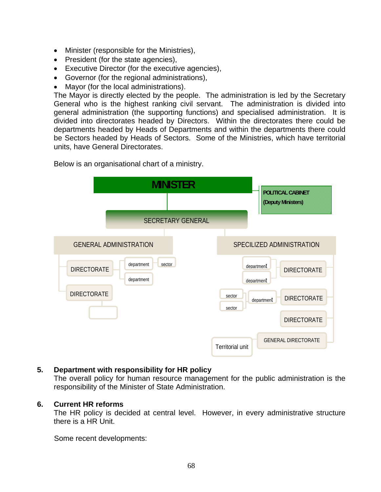- Minister (responsible for the Ministries),
- President (for the state agencies),
- Executive Director (for the executive agencies),
- Governor (for the regional administrations),
- Mayor (for the local administrations).

The Mayor is directly elected by the people. The administration is led by the Secretary General who is the highest ranking civil servant. The administration is divided into general administration (the supporting functions) and specialised administration. It is divided into directorates headed by Directors. Within the directorates there could be departments headed by Heads of Departments and within the departments there could be Sectors headed by Heads of Sectors. Some of the Ministries, which have territorial units, have General Directorates.



Below is an organisational chart of a ministry.

### **5. Department with responsibility for HR policy**

The overall policy for human resource management for the public administration is the responsibility of the Minister of State Administration.

#### **6. Current HR reforms**

The HR policy is decided at central level. However, in every administrative structure there is a HR Unit.

Some recent developments: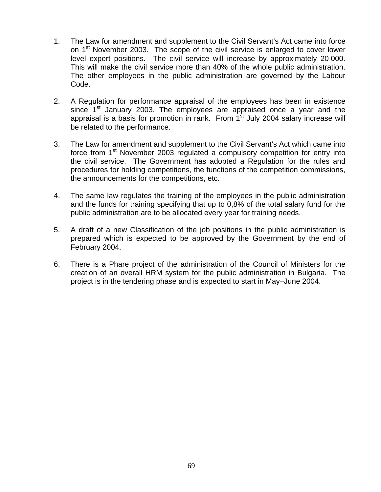- 1. The Law for amendment and supplement to the Civil Servant's Act came into force on 1<sup>st</sup> November 2003. The scope of the civil service is enlarged to cover lower level expert positions. The civil service will increase by approximately 20 000. This will make the civil service more than 40% of the whole public administration. The other employees in the public administration are governed by the Labour Code.
- 2. A Regulation for performance appraisal of the employees has been in existence since 1<sup>st</sup> January 2003. The employees are appraised once a year and the appraisal is a basis for promotion in rank. From  $1<sup>st</sup>$  July 2004 salary increase will be related to the performance.
- 3. The Law for amendment and supplement to the Civil Servant's Act which came into force from 1<sup>st</sup> November 2003 regulated a compulsory competition for entry into the civil service. The Government has adopted a Regulation for the rules and procedures for holding competitions, the functions of the competition commissions, the announcements for the competitions, etc.
- 4. The same law regulates the training of the employees in the public administration and the funds for training specifying that up to 0,8% of the total salary fund for the public administration are to be allocated every year for training needs.
- 5. A draft of a new Classification of the job positions in the public administration is prepared which is expected to be approved by the Government by the end of February 2004.
- 6. There is a Phare project of the administration of the Council of Ministers for the creation of an overall HRM system for the public administration in Bulgaria. The project is in the tendering phase and is expected to start in May–June 2004.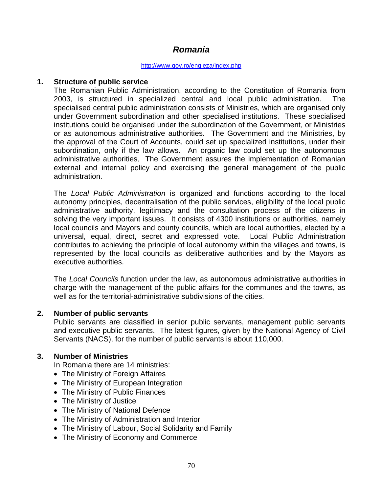# *Romania*

#### http://www.gov.ro/engleza/index.php

#### **1. Structure of public service**

The Romanian Public Administration, according to the Constitution of Romania from 2003, is structured in specialized central and local public administration. The specialised central public administration consists of Ministries, which are organised only under Government subordination and other specialised institutions. These specialised institutions could be organised under the subordination of the Government, or Ministries or as autonomous administrative authorities. The Government and the Ministries, by the approval of the Court of Accounts, could set up specialized institutions, under their subordination, only if the law allows. An organic law could set up the autonomous administrative authorities. The Government assures the implementation of Romanian external and internal policy and exercising the general management of the public administration.

The *Local Public Administration* is organized and functions according to the local autonomy principles, decentralisation of the public services, eligibility of the local public administrative authority, legitimacy and the consultation process of the citizens in solving the very important issues. It consists of 4300 institutions or authorities, namely local councils and Mayors and county councils, which are local authorities, elected by a universal, equal, direct, secret and expressed vote. Local Public Administration contributes to achieving the principle of local autonomy within the villages and towns, is represented by the local councils as deliberative authorities and by the Mayors as executive authorities.

The *Local Councils* function under the law, as autonomous administrative authorities in charge with the management of the public affairs for the communes and the towns, as well as for the territorial-administrative subdivisions of the cities.

#### **2. Number of public servants**

Public servants are classified in senior public servants, management public servants and executive public servants. The latest figures, given by the National Agency of Civil Servants (NACS), for the number of public servants is about 110,000.

#### **3. Number of Ministries**

In Romania there are 14 ministries:

- The Ministry of Foreign Affaires
- The Ministry of European Integration
- The Ministry of Public Finances
- The Ministry of Justice
- The Ministry of National Defence
- The Ministry of Administration and Interior
- The Ministry of Labour, Social Solidarity and Family
- The Ministry of Economy and Commerce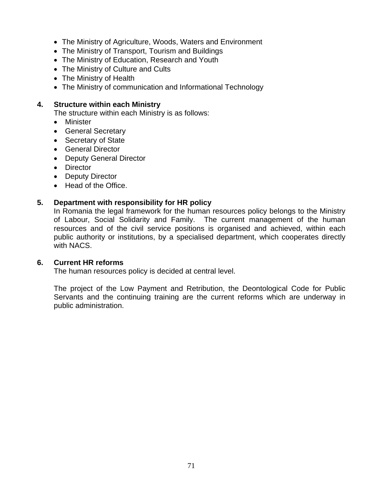- The Ministry of Agriculture, Woods, Waters and Environment
- The Ministry of Transport, Tourism and Buildings
- The Ministry of Education, Research and Youth
- The Ministry of Culture and Cults
- The Ministry of Health
- The Ministry of communication and Informational Technology

### **4. Structure within each Ministry**

The structure within each Ministry is as follows:

- Minister
- General Secretary
- Secretary of State
- General Director
- Deputy General Director
- Director
- Deputy Director
- Head of the Office.

### **5. Department with responsibility for HR policy**

In Romania the legal framework for the human resources policy belongs to the Ministry of Labour, Social Solidarity and Family. The current management of the human resources and of the civil service positions is organised and achieved, within each public authority or institutions, by a specialised department, which cooperates directly with NACS.

#### **6. Current HR reforms**

The human resources policy is decided at central level.

The project of the Low Payment and Retribution, the Deontological Code for Public Servants and the continuing training are the current reforms which are underway in public administration.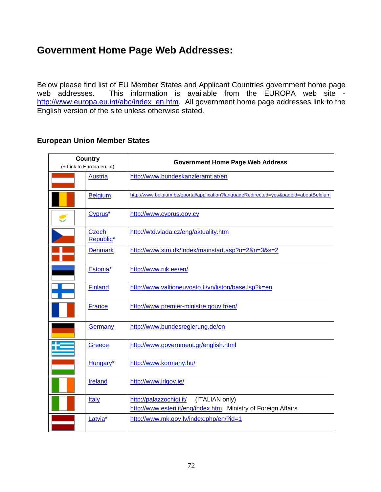# **Government Home Page Web Addresses:**

Below please find list of EU Member States and Applicant Countries government home page web addresses. This information is available from the EUROPA web site http://www.europa.eu.int/abc/index\_en.htm. All government home page addresses link to the English version of the site unless otherwise stated.

#### **European Union Member States**

| <b>Country</b><br>(+ Link to Europa.eu.int) |                     | <b>Government Home Page Web Address</b>                                                                     |
|---------------------------------------------|---------------------|-------------------------------------------------------------------------------------------------------------|
|                                             | <b>Austria</b>      | http://www.bundeskanzleramt.at/en                                                                           |
|                                             | <b>Belgium</b>      | http://www.belgium.be/eportal/application?languageRedirected=yes&pageid=aboutBelgium                        |
|                                             | Cyprus <sup>*</sup> | http://www.cyprus.gov.cy                                                                                    |
|                                             | Czech<br>Republic*  | http://wtd.vlada.cz/eng/aktuality.htm                                                                       |
|                                             | <b>Denmark</b>      | http://www.stm.dk/Index/mainstart.asp?o=2&n=3&s=2                                                           |
|                                             | Estonia*            | http://www.riik.ee/en/                                                                                      |
|                                             | Finland             | http://www.valtioneuvosto.fi/vn/liston/base.lsp?k=en                                                        |
|                                             | <b>France</b>       | http://www.premier-ministre.gouv.fr/en/                                                                     |
|                                             | Germany             | http://www.bundesregierung.de/en                                                                            |
|                                             | Greece              | http://www.government.gr/english.html                                                                       |
|                                             | Hungary*            | http://www.kormany.hu/                                                                                      |
|                                             | <b>Ireland</b>      | http://www.irlgov.ie/                                                                                       |
|                                             | <b>Italy</b>        | http://palazzochigi.it/<br>(ITALIAN only)<br>http://www.esteri.it/eng/index.htm Ministry of Foreign Affairs |
|                                             | Latvia <sup>*</sup> | http://www.mk.gov.lv/index.php/en/?id=1                                                                     |